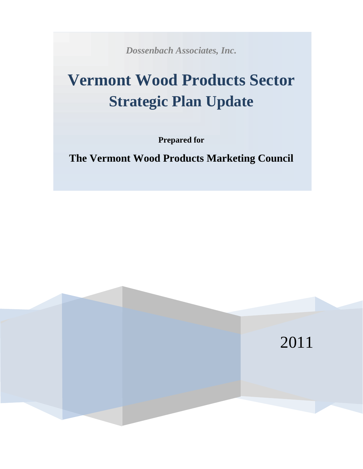*Dossenbach Associates, Inc.*

# **Vermont Wood Products Sector Strategic Plan Update**

**Prepared for**

**The Vermont Wood Products Marketing Council**

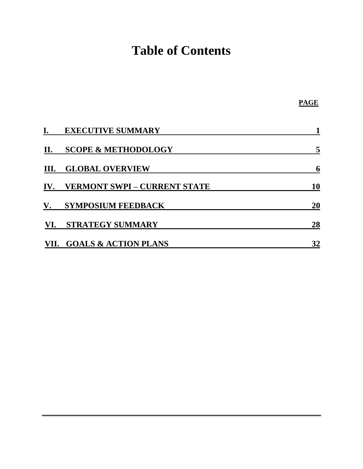# **Table of Contents**

|     | <b>EXECUTIVE SUMMARY</b>            |           |
|-----|-------------------------------------|-----------|
| II. | <b>SCOPE &amp; METHODOLOGY</b>      |           |
| Ш.  | <b>GLOBAL OVERVIEW</b>              | 6         |
| IV. | <b>VERMONT SWPI – CURRENT STATE</b> | <b>10</b> |
| V.  | <b>SYMPOSIUM FEEDBACK</b>           | <b>20</b> |
| VI. | <b>STRATEGY SUMMARY</b>             | 28        |
|     | VII. GOALS & ACTION PLANS           | 32        |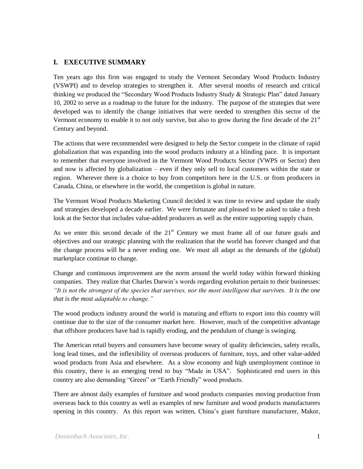## **I. EXECUTIVE SUMMARY**

Ten years ago this firm was engaged to study the Vermont Secondary Wood Products Industry (VSWPI) and to develop strategies to strengthen it. After several months of research and critical thinking we produced the "Secondary Wood Products Industry Study & Strategic Plan" dated January 10, 2002 to serve as a roadmap to the future for the industry. The purpose of the strategies that were developed was to identify the change initiatives that were needed to strengthen this sector of the Vermont economy to enable it to not only survive, but also to grow during the first decade of the 21<sup>st</sup> Century and beyond.

The actions that were recommended were designed to help the Sector compete in the climate of rapid globalization that was expanding into the wood products industry at a blinding pace. It is important to remember that everyone involved in the Vermont Wood Products Sector (VWPS or Sector) then and now is affected by globalization – even if they only sell to local customers within the state or region. Wherever there is a choice to buy from competitors here in the U.S. or from producers in Canada, China, or elsewhere in the world, the competition is global in nature.

The Vermont Wood Products Marketing Council decided it was time to review and update the study and strategies developed a decade earlier. We were fortunate and pleased to be asked to take a fresh look at the Sector that includes value-added producers as well as the entire supporting supply chain.

As we enter this second decade of the  $21<sup>st</sup>$  Century we must frame all of our future goals and objectives and our strategic planning with the realization that the world has forever changed and that the change process will be a never ending one. We must all adapt as the demands of the (global) marketplace continue to change.

Change and continuous improvement are the norm around the world today within forward thinking companies. They realize that Charles Darwin's words regarding evolution pertain to their businesses: *"It is not the strongest of the species that survives, nor the most intelligent that survives. It is the one that is the most adaptable to change."*

The wood products industry around the world is maturing and efforts to export into this country will continue due to the size of the consumer market here. However, much of the competitive advantage that offshore producers have had is rapidly eroding, and the pendulum of change is swinging.

The American retail buyers and consumers have become weary of quality deficiencies, safety recalls, long lead times, and the inflexibility of overseas producers of furniture, toys, and other value-added wood products from Asia and elsewhere. As a slow economy and high unemployment continue in this country, there is an emerging trend to buy "Made in USA". Sophisticated end users in this country are also demanding "Green" or "Earth Friendly" wood products.

There are almost daily examples of furniture and wood products companies moving production from overseas back to this country as well as examples of new furniture and wood products manufacturers opening in this country. As this report was written, China's giant furniture manufacturer, Makor,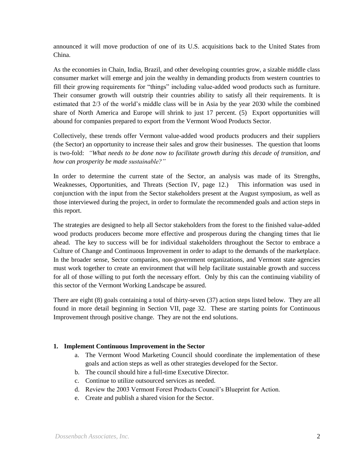announced it will move production of one of its U.S. acquisitions back to the United States from China.

As the economies in Chain, India, Brazil, and other developing countries grow, a sizable middle class consumer market will emerge and join the wealthy in demanding products from western countries to fill their growing requirements for "things" including value-added wood products such as furniture. Their consumer growth will outstrip their countries ability to satisfy all their requirements. It is estimated that 2/3 of the world's middle class will be in Asia by the year 2030 while the combined share of North America and Europe will shrink to just 17 percent. (5) Export opportunities will abound for companies prepared to export from the Vermont Wood Products Sector.

Collectively, these trends offer Vermont value-added wood products producers and their suppliers (the Sector) an opportunity to increase their sales and grow their businesses. The question that looms is two-fold: *"What needs to be done now to facilitate growth during this decade of transition, and how can prosperity be made sustainable?"*

In order to determine the current state of the Sector, an analysis was made of its Strengths, Weaknesses, Opportunities, and Threats (Section IV, page 12.) This information was used in conjunction with the input from the Sector stakeholders present at the August symposium, as well as those interviewed during the project, in order to formulate the recommended goals and action steps in this report.

The strategies are designed to help all Sector stakeholders from the forest to the finished value-added wood products producers become more effective and prosperous during the changing times that lie ahead. The key to success will be for individual stakeholders throughout the Sector to embrace a Culture of Change and Continuous Improvement in order to adapt to the demands of the marketplace. In the broader sense, Sector companies, non-government organizations, and Vermont state agencies must work together to create an environment that will help facilitate sustainable growth and success for all of those willing to put forth the necessary effort. Only by this can the continuing viability of this sector of the Vermont Working Landscape be assured.

There are eight (8) goals containing a total of thirty-seven (37) action steps listed below. They are all found in more detail beginning in Section VII, page 32. These are starting points for Continuous Improvement through positive change. They are not the end solutions.

#### **1. Implement Continuous Improvement in the Sector**

- a. The Vermont Wood Marketing Council should coordinate the implementation of these goals and action steps as well as other strategies developed for the Sector.
- b. The council should hire a full-time Executive Director.
- c. Continue to utilize outsourced services as needed.
- d. Review the 2003 Vermont Forest Products Council's Blueprint for Action.
- e. Create and publish a shared vision for the Sector.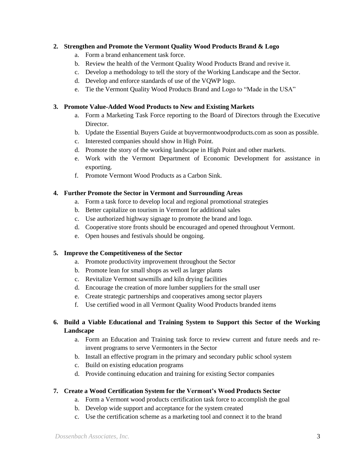#### **2. Strengthen and Promote the Vermont Quality Wood Products Brand & Logo**

- a. Form a brand enhancement task force.
- b. Review the health of the Vermont Quality Wood Products Brand and revive it.
- c. Develop a methodology to tell the story of the Working Landscape and the Sector.
- d. Develop and enforce standards of use of the VQWP logo.
- e. Tie the Vermont Quality Wood Products Brand and Logo to "Made in the USA"

#### **3. Promote Value-Added Wood Products to New and Existing Markets**

- a. Form a Marketing Task Force reporting to the Board of Directors through the Executive Director.
- b. Update the Essential Buyers Guide at buyvermontwoodproducts.com as soon as possible.
- c. Interested companies should show in High Point.
- d. Promote the story of the working landscape in High Point and other markets.
- e. Work with the Vermont Department of Economic Development for assistance in exporting.
- f. Promote Vermont Wood Products as a Carbon Sink.

#### **4. Further Promote the Sector in Vermont and Surrounding Areas**

- a. Form a task force to develop local and regional promotional strategies
- b. Better capitalize on tourism in Vermont for additional sales
- c. Use authorized highway signage to promote the brand and logo.
- d. Cooperative store fronts should be encouraged and opened throughout Vermont.
- e. Open houses and festivals should be ongoing.

#### **5. Improve the Competitiveness of the Sector**

- a. Promote productivity improvement throughout the Sector
- b. Promote lean for small shops as well as larger plants
- c. Revitalize Vermont sawmills and kiln drying facilities
- d. Encourage the creation of more lumber suppliers for the small user
- e. Create strategic partnerships and cooperatives among sector players
- f. Use certified wood in all Vermont Quality Wood Products branded items

#### **6. Build a Viable Educational and Training System to Support this Sector of the Working Landscape**

- a. Form an Education and Training task force to review current and future needs and reinvent programs to serve Vermonters in the Sector
- b. Install an effective program in the primary and secondary public school system
- c. Build on existing education programs
- d. Provide continuing education and training for existing Sector companies

#### **7. Create a Wood Certification System for the Vermont's Wood Products Sector**

- a. Form a Vermont wood products certification task force to accomplish the goal
- b. Develop wide support and acceptance for the system created
- c. Use the certification scheme as a marketing tool and connect it to the brand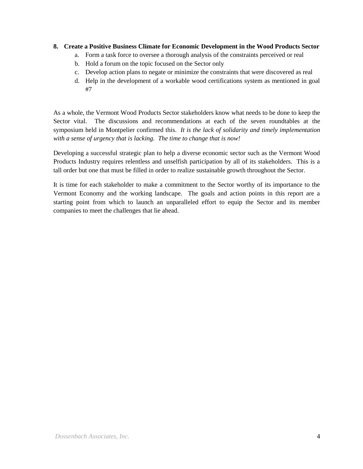#### **8. Create a Positive Business Climate for Economic Development in the Wood Products Sector**

- a. Form a task force to oversee a thorough analysis of the constraints perceived or real
- b. Hold a forum on the topic focused on the Sector only
- c. Develop action plans to negate or minimize the constraints that were discovered as real
- d. Help in the development of a workable wood certifications system as mentioned in goal #7

As a whole, the Vermont Wood Products Sector stakeholders know what needs to be done to keep the Sector vital. The discussions and recommendations at each of the seven roundtables at the symposium held in Montpelier confirmed this. *It is the lack of solidarity and timely implementation with a sense of urgency that is lacking. The time to change that is now!*

Developing a successful strategic plan to help a diverse economic sector such as the Vermont Wood Products Industry requires relentless and unselfish participation by all of its stakeholders. This is a tall order but one that must be filled in order to realize sustainable growth throughout the Sector.

It is time for each stakeholder to make a commitment to the Sector worthy of its importance to the Vermont Economy and the working landscape. The goals and action points in this report are a starting point from which to launch an unparalleled effort to equip the Sector and its member companies to meet the challenges that lie ahead.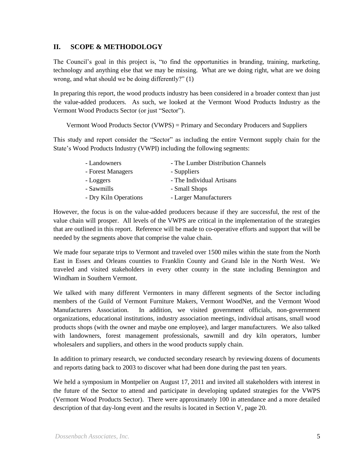## **II. SCOPE & METHODOLOGY**

The Council's goal in this project is, "to find the opportunities in branding, training, marketing, technology and anything else that we may be missing. What are we doing right, what are we doing wrong, and what should we be doing differently?" (1)

In preparing this report, the wood products industry has been considered in a broader context than just the value-added producers. As such, we looked at the Vermont Wood Products Industry as the Vermont Wood Products Sector (or just "Sector").

Vermont Wood Products Sector (VWPS) = Primary and Secondary Producers and Suppliers

This study and report consider the "Sector" as including the entire Vermont supply chain for the State's Wood Products Industry (VWPI) including the following segments:

| - Landowners          | - The Lumber Distribution Channels |
|-----------------------|------------------------------------|
| - Forest Managers     | - Suppliers                        |
| - Loggers             | - The Individual Artisans          |
| - Sawmills            | - Small Shops                      |
| - Dry Kiln Operations | - Larger Manufacturers             |

However, the focus is on the value-added producers because if they are successful, the rest of the value chain will prosper. All levels of the VWPS are critical in the implementation of the strategies that are outlined in this report. Reference will be made to co-operative efforts and support that will be needed by the segments above that comprise the value chain.

We made four separate trips to Vermont and traveled over 1500 miles within the state from the North East in Essex and Orleans counties to Franklin County and Grand Isle in the North West. We traveled and visited stakeholders in every other county in the state including Bennington and Windham in Southern Vermont.

We talked with many different Vermonters in many different segments of the Sector including members of the Guild of Vermont Furniture Makers, Vermont WoodNet, and the Vermont Wood Manufacturers Association. In addition, we visited government officials, non-government organizations, educational institutions, industry association meetings, individual artisans, small wood products shops (with the owner and maybe one employee), and larger manufacturers. We also talked with landowners, forest management professionals, sawmill and dry kiln operators, lumber wholesalers and suppliers, and others in the wood products supply chain.

In addition to primary research, we conducted secondary research by reviewing dozens of documents and reports dating back to 2003 to discover what had been done during the past ten years.

We held a symposium in Montpelier on August 17, 2011 and invited all stakeholders with interest in the future of the Sector to attend and participate in developing updated strategies for the VWPS (Vermont Wood Products Sector). There were approximately 100 in attendance and a more detailed description of that day-long event and the results is located in Section V, page 20.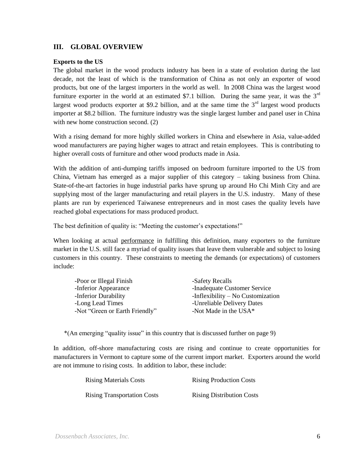## **III. GLOBAL OVERVIEW**

#### **Exports to the US**

The global market in the wood products industry has been in a state of evolution during the last decade, not the least of which is the transformation of China as not only an exporter of wood products, but one of the largest importers in the world as well. In 2008 China was the largest wood furniture exporter in the world at an estimated \$7.1 billion. During the same year, it was the  $3<sup>rd</sup>$ largest wood products exporter at \$9.2 billion, and at the same time the  $3<sup>rd</sup>$  largest wood products importer at \$8.2 billion. The furniture industry was the single largest lumber and panel user in China with new home construction second. (2)

With a rising demand for more highly skilled workers in China and elsewhere in Asia, value-added wood manufacturers are paying higher wages to attract and retain employees. This is contributing to higher overall costs of furniture and other wood products made in Asia.

With the addition of anti-dumping tariffs imposed on bedroom furniture imported to the US from China, Vietnam has emerged as a major supplier of this category – taking business from China. State-of-the-art factories in huge industrial parks have sprung up around Ho Chi Minh City and are supplying most of the larger manufacturing and retail players in the U.S. industry. Many of these plants are run by experienced Taiwanese entrepreneurs and in most cases the quality levels have reached global expectations for mass produced product.

The best definition of quality is: "Meeting the customer's expectations!"

When looking at actual performance in fulfilling this definition, many exporters to the furniture market in the U.S. still face a myriad of quality issues that leave them vulnerable and subject to losing customers in this country. These constraints to meeting the demands (or expectations) of customers include:

| -Safety Recalls                     |
|-------------------------------------|
| -Inadequate Customer Service        |
| -Inflexibility $-$ No Customization |
| -Unreliable Delivery Dates          |
| -Not Made in the USA*               |
|                                     |

\*(An emerging "quality issue" in this country that is discussed further on page 9)

In addition, off-shore manufacturing costs are rising and continue to create opportunities for manufacturers in Vermont to capture some of the current import market. Exporters around the world are not immune to rising costs. In addition to labor, these include:

| <b>Rising Materials Costs</b>      | <b>Rising Production Costs</b>   |
|------------------------------------|----------------------------------|
| <b>Rising Transportation Costs</b> | <b>Rising Distribution Costs</b> |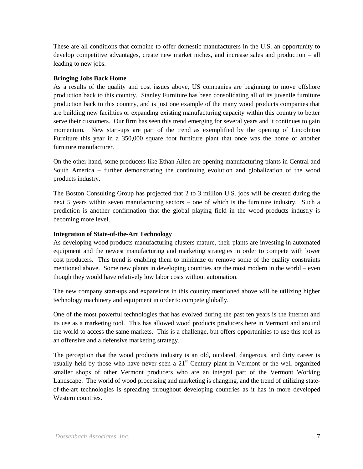These are all conditions that combine to offer domestic manufacturers in the U.S. an opportunity to develop competitive advantages, create new market niches, and increase sales and production – all leading to new jobs.

#### **Bringing Jobs Back Home**

As a results of the quality and cost issues above, US companies are beginning to move offshore production back to this country. Stanley Furniture has been consolidating all of its juvenile furniture production back to this country, and is just one example of the many wood products companies that are building new facilities or expanding existing manufacturing capacity within this country to better serve their customers. Our firm has seen this trend emerging for several years and it continues to gain momentum. New start-ups are part of the trend as exemplified by the opening of Lincolnton Furniture this year in a 350,000 square foot furniture plant that once was the home of another furniture manufacturer.

On the other hand, some producers like Ethan Allen are opening manufacturing plants in Central and South America – further demonstrating the continuing evolution and globalization of the wood products industry.

The Boston Consulting Group has projected that 2 to 3 million U.S. jobs will be created during the next 5 years within seven manufacturing sectors – one of which is the furniture industry. Such a prediction is another confirmation that the global playing field in the wood products industry is becoming more level.

#### **Integration of State-of-the-Art Technology**

As developing wood products manufacturing clusters mature, their plants are investing in automated equipment and the newest manufacturing and marketing strategies in order to compete with lower cost producers. This trend is enabling them to minimize or remove some of the quality constraints mentioned above. Some new plants in developing countries are the most modern in the world – even though they would have relatively low labor costs without automation.

The new company start-ups and expansions in this country mentioned above will be utilizing higher technology machinery and equipment in order to compete globally.

One of the most powerful technologies that has evolved during the past ten years is the internet and its use as a marketing tool. This has allowed wood products producers here in Vermont and around the world to access the same markets. This is a challenge, but offers opportunities to use this tool as an offensive and a defensive marketing strategy.

The perception that the wood products industry is an old, outdated, dangerous, and dirty career is usually held by those who have never seen a  $21<sup>st</sup>$  Century plant in Vermont or the well organized smaller shops of other Vermont producers who are an integral part of the Vermont Working Landscape. The world of wood processing and marketing is changing, and the trend of utilizing stateof-the-art technologies is spreading throughout developing countries as it has in more developed Western countries.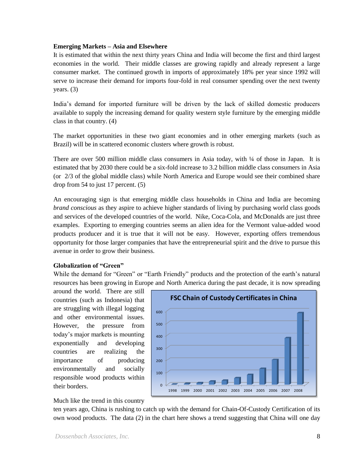#### **Emerging Markets – Asia and Elsewhere**

It is estimated that within the next thirty years China and India will become the first and third largest economies in the world. Their middle classes are growing rapidly and already represent a large consumer market. The continued growth in imports of approximately 18% per year since 1992 will serve to increase their demand for imports four-fold in real consumer spending over the next twenty years. (3)

India's demand for imported furniture will be driven by the lack of skilled domestic producers available to supply the increasing demand for quality western style furniture by the emerging middle class in that country. (4)

The market opportunities in these two giant economies and in other emerging markets (such as Brazil) will be in scattered economic clusters where growth is robust.

There are over 500 million middle class consumers in Asia today, with ¼ of those in Japan. It is estimated that by 2030 there could be a six-fold increase to 3.2 billion middle class consumers in Asia (or 2/3 of the global middle class) while North America and Europe would see their combined share drop from 54 to just 17 percent. (5)

An encouraging sign is that emerging middle class households in China and India are becoming *brand conscious* as they aspire to achieve higher standards of living by purchasing world class goods and services of the developed countries of the world. Nike, Coca-Cola, and McDonalds are just three examples. Exporting to emerging countries seems an alien idea for the Vermont value-added wood products producer and it is true that it will not be easy. However, exporting offers tremendous opportunity for those larger companies that have the entrepreneurial spirit and the drive to pursue this avenue in order to grow their business.

#### **Globalization of "Green"**

While the demand for "Green" or "Earth Friendly" products and the protection of the earth's natural resources has been growing in Europe and North America during the past decade, it is now spreading

around the world. There are still countries (such as Indonesia) that are struggling with illegal logging and other environmental issues. However, the pressure from today's major markets is mounting exponentially and developing countries are realizing the importance of producing environmentally and socially responsible wood products within their borders.



Much like the trend in this country

ten years ago, China is rushing to catch up with the demand for Chain-Of-Custody Certification of its own wood products. The data (2) in the chart here shows a trend suggesting that China will one day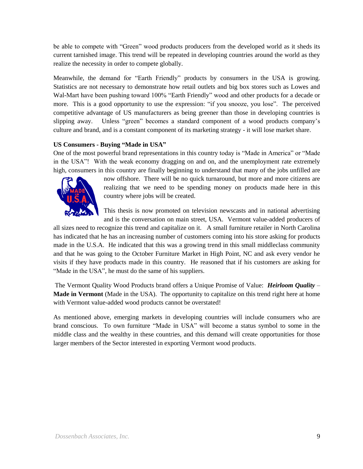be able to compete with "Green" wood products producers from the developed world as it sheds its current tarnished image. This trend will be repeated in developing countries around the world as they realize the necessity in order to compete globally.

Meanwhile, the demand for "Earth Friendly" products by consumers in the USA is growing. Statistics are not necessary to demonstrate how retail outlets and big box stores such as Lowes and Wal-Mart have been pushing toward 100% "Earth Friendly" wood and other products for a decade or more. This is a good opportunity to use the expression: "if you snooze, you lose". The perceived competitive advantage of US manufacturers as being greener than those in developing countries is slipping away. Unless "green" becomes a standard component of a wood products company's culture and brand, and is a constant component of its marketing strategy - it will lose market share.

## **US Consumers - Buying "Made in USA"**

One of the most powerful brand representations in this country today is "Made in America" or "Made in the USA"! With the weak economy dragging on and on, and the unemployment rate extremely high, consumers in this country are finally beginning to understand that many of the jobs unfilled are



now offshore. There will be no quick turnaround, but more and more citizens are realizing that we need to be spending money on products made here in this country where jobs will be created.

This thesis is now promoted on television newscasts and in national advertising and is the conversation on main street, USA. Vermont value-added producers of

all sizes need to recognize this trend and capitalize on it. A small furniture retailer in North Carolina has indicated that he has an increasing number of customers coming into his store asking for products made in the U.S.A. He indicated that this was a growing trend in this small middleclass community and that he was going to the October Furniture Market in High Point, NC and ask every vendor he visits if they have products made in this country. He reasoned that if his customers are asking for "Made in the USA", he must do the same of his suppliers.

The Vermont Quality Wood Products brand offers a Unique Promise of Value: *Heirloom Quality* – **Made in Vermont** (Made in the USA). The opportunity to capitalize on this trend right here at home with Vermont value-added wood products cannot be overstated!

As mentioned above, emerging markets in developing countries will include consumers who are brand conscious. To own furniture "Made in USA" will become a status symbol to some in the middle class and the wealthy in these countries, and this demand will create opportunities for those larger members of the Sector interested in exporting Vermont wood products.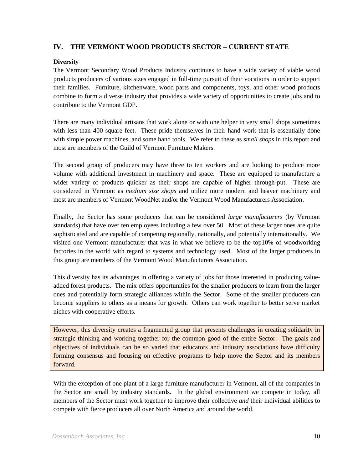## **IV. THE VERMONT WOOD PRODUCTS SECTOR – CURRENT STATE**

#### **Diversity**

The Vermont Secondary Wood Products Industry continues to have a wide variety of viable wood products producers of various sizes engaged in full-time pursuit of their vocations in order to support their families. Furniture, kitchenware, wood parts and components, toys, and other wood products combine to form a diverse industry that provides a wide variety of opportunities to create jobs and to contribute to the Vermont GDP.

There are many individual artisans that work alone or with one helper in very small shops sometimes with less than 400 square feet. These pride themselves in their hand work that is essentially done with simple power machines, and some hand tools. We refer to these as *small shops* in this report and most are members of the Guild of Vermont Furniture Makers.

The second group of producers may have three to ten workers and are looking to produce more volume with additional investment in machinery and space. These are equipped to manufacture a wider variety of products quicker as their shops are capable of higher through-put. These are considered in Vermont as *medium size shops* and utilize more modern and heaver machinery and most are members of Vermont WoodNet and/or the Vermont Wood Manufacturers Association.

Finally, the Sector has some producers that can be considered *large manufacturers* (by Vermont standards) that have over ten employees including a few over 50. Most of these larger ones are quite sophisticated and are capable of competing regionally, nationally, and potentially internationally. We visited one Vermont manufacturer that was in what we believe to be the top10% of woodworking factories in the world with regard to systems and technology used. Most of the larger producers in this group are members of the Vermont Wood Manufacturers Association.

This diversity has its advantages in offering a variety of jobs for those interested in producing valueadded forest products. The mix offers opportunities for the smaller producers to learn from the larger ones and potentially form strategic alliances within the Sector. Some of the smaller producers can become suppliers to others as a means for growth. Others can work together to better serve market niches with cooperative efforts.

However, this diversity creates a fragmented group that presents challenges in creating solidarity in strategic thinking and working together for the common good of the entire Sector. The goals and objectives of individuals can be so varied that educators and industry associations have difficulty forming consensus and focusing on effective programs to help move the Sector and its members forward.

With the exception of one plant of a large furniture manufacturer in Vermont, all of the companies in the Sector are small by industry standards. In the global environment we compete in today, all members of the Sector must work together to improve their collective *and* their individual abilities to compete with fierce producers all over North America and around the world.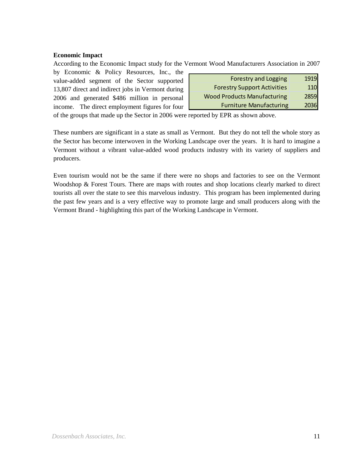#### **Economic Impact**

According to the Economic Impact study for the Vermont Wood Manufacturers Association in 2007

by Economic & Policy Resources, Inc., the value-added segment of the Sector supported 13,807 direct and indirect jobs in Vermont during 2006 and generated \$486 million in personal income. The direct employment figures for four

| <b>Forestry and Logging</b>        | 1919 |
|------------------------------------|------|
| <b>Forestry Support Activities</b> | 110  |
| <b>Wood Products Manufacturing</b> | 2859 |
| <b>Furniture Manufacturing</b>     | 2036 |

of the groups that made up the Sector in 2006 were reported by EPR as shown above.

These numbers are significant in a state as small as Vermont. But they do not tell the whole story as the Sector has become interwoven in the Working Landscape over the years. It is hard to imagine a Vermont without a vibrant value-added wood products industry with its variety of suppliers and producers.

Even tourism would not be the same if there were no shops and factories to see on the Vermont Woodshop & Forest Tours. There are maps with routes and shop locations clearly marked to direct tourists all over the state to see this marvelous industry. This program has been implemented during the past few years and is a very effective way to promote large and small producers along with the Vermont Brand - highlighting this part of the Working Landscape in Vermont.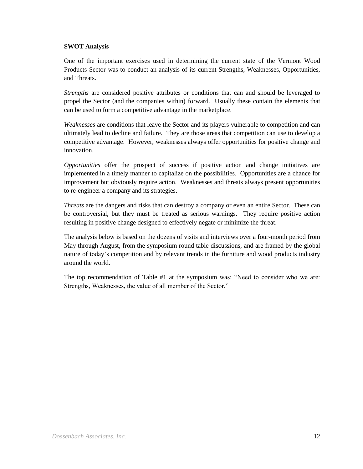#### **SWOT Analysis**

One of the important exercises used in determining the current state of the Vermont Wood Products Sector was to conduct an analysis of its current Strengths, Weaknesses, Opportunities, and Threats.

*Strengths* are considered positive attributes or conditions that can and should be leveraged to propel the Sector (and the companies within) forward. Usually these contain the elements that can be used to form a competitive advantage in the marketplace.

*Weaknesses* are conditions that leave the Sector and its players vulnerable to competition and can ultimately lead to decline and failure. They are those areas that competition can use to develop a competitive advantage. However, weaknesses always offer opportunities for positive change and innovation.

*Opportunities* offer the prospect of success if positive action and change initiatives are implemented in a timely manner to capitalize on the possibilities. Opportunities are a chance for improvement but obviously require action. Weaknesses and threats always present opportunities to re-engineer a company and its strategies.

*Threats* are the dangers and risks that can destroy a company or even an entire Sector. These can be controversial, but they must be treated as serious warnings. They require positive action resulting in positive change designed to effectively negate or minimize the threat.

The analysis below is based on the dozens of visits and interviews over a four-month period from May through August, from the symposium round table discussions, and are framed by the global nature of today's competition and by relevant trends in the furniture and wood products industry around the world.

The top recommendation of Table #1 at the symposium was: "Need to consider who we are: Strengths, Weaknesses, the value of all member of the Sector."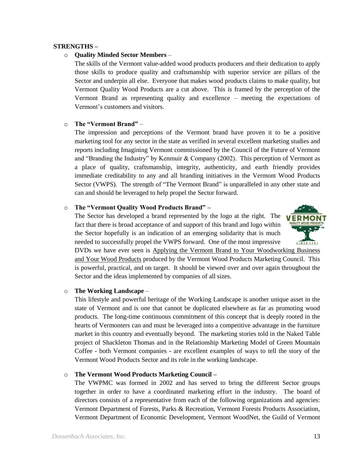#### **STRENGTHS –**

#### o **Quality Minded Sector Members** –

The skills of the Vermont value-added wood products producers and their dedication to apply those skills to produce quality and craftsmanship with superior service are pillars of the Sector and underpin all else. Everyone that makes wood products claims to make quality, but Vermont Quality Wood Products are a cut above. This is framed by the perception of the Vermont Brand as representing quality and excellence – meeting the expectations of Vermont's customers and visitors.

#### o **The "Vermont Brand"** –

The impression and perceptions of the Vermont brand have proven it to be a positive marketing tool for any sector in the state as verified in several excellent marketing studies and reports including Imagining Vermont commissioned by the Council of the Future of Vermont and "Branding the Industry" by Kenmuir & Company (2002). This perception of Vermont as a place of quality, craftsmanship, integrity, authenticity, and earth friendly provides immediate creditability to any and all branding initiatives in the Vermont Wood Products Sector (VWPS). The strength of "The Vermont Brand" is unparalleled in any other state and can and should be leveraged to help propel the Sector forward.

#### o **The "Vermont Quality Wood Products Brand" –**

The Sector has developed a brand represented by the logo at the right. The fact that there is broad acceptance of and support of this brand and logo within the Sector hopefully is an indication of an emerging solidarity that is much needed to successfully propel the VWPS forward. One of the most impressive



DVDs we have ever seen is Applying the Vermont Brand to Your Woodworking Business and Your Wood Products produced by the Vermont Wood Products Marketing Council. This is powerful, practical, and on target. It should be viewed over and over again throughout the Sector and the ideas implemented by companies of all sizes.

#### o **The Working Landscape** –

This lifestyle and powerful heritage of the Working Landscape is another unique asset in the state of Vermont and is one that cannot be duplicated elsewhere as far as promoting wood products. The long-time continuous commitment of this concept that is deeply rooted in the hearts of Vermonters can and must be leveraged into a competitive advantage in the furniture market in this country and eventually beyond. The marketing stories told in the Naked Table project of Shackleton Thomas and in the Relationship Marketing Model of Green Mountain Coffee - both Vermont companies - are excellent examples of ways to tell the story of the Vermont Wood Products Sector and its role in the working landscape.

#### o **The Vermont Wood Products Marketing Council –**

The VWPMC was formed in 2002 and has served to bring the different Sector groups together in order to have a coordinated marketing effort in the industry. The board of directors consists of a representative from each of the following organizations and agencies: Vermont Department of Forests, Parks & Recreation, Vermont Forests Products Association, Vermont Department of Economic Development, Vermont WoodNet, the Guild of Vermont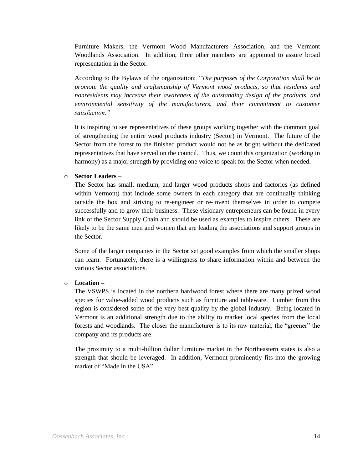Furniture Makers, the Vermont Wood Manufacturers Association, and the Vermont Woodlands Association. In addition, three other members are appointed to assure broad representation in the Sector.

According to the Bylaws of the organization: *"The purposes of the Corporation shall be to promote the quality and craftsmanship of Vermont wood products, so that residents and nonresidents may increase their awareness of the outstanding design of the products, and environmental sensitivity of the manufacturers, and their commitment to customer satisfaction."*

It is inspiring to see representatives of these groups working together with the common goal of strengthening the entire wood products industry (Sector) in Vermont. The future of the Sector from the forest to the finished product would not be as bright without the dedicated representatives that have served on the council. Thus, we count this organization (working in harmony) as a major strength by providing one voice to speak for the Sector when needed.

#### o **Sector Leaders –**

The Sector has small, medium, and larger wood products shops and factories (as defined within Vermont) that include some owners in each category that are continually thinking outside the box and striving to re-engineer or re-invent themselves in order to compete successfully and to grow their business. These visionary entrepreneurs can be found in every link of the Sector Supply Chain and should be used as examples to inspire others. These are likely to be the same men and women that are leading the associations and support groups in the Sector.

Some of the larger companies in the Sector set good examples from which the smaller shops can learn. Fortunately, there is a willingness to share information within and between the various Sector associations.

#### o **Location –**

The VSWPS is located in the northern hardwood forest where there are many prized wood species for value-added wood products such as furniture and tableware. Lumber from this region is considered some of the very best quality by the global industry. Being located in Vermont is an additional strength due to the ability to market local species from the local forests and woodlands. The closer the manufacturer is to its raw material, the "greener" the company and its products are.

The proximity to a multi-billion dollar furniture market in the Northeastern states is also a strength that should be leveraged. In addition, Vermont prominently fits into the growing market of "Made in the USA".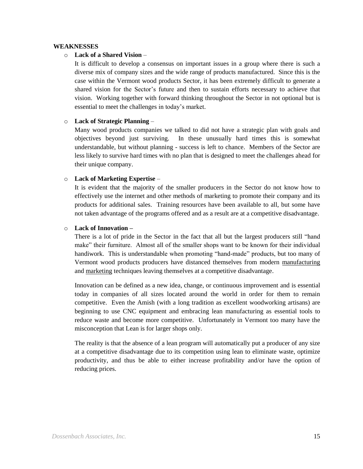#### **WEAKNESSES**

#### o **Lack of a Shared Vision** –

It is difficult to develop a consensus on important issues in a group where there is such a diverse mix of company sizes and the wide range of products manufactured. Since this is the case within the Vermont wood products Sector, it has been extremely difficult to generate a shared vision for the Sector's future and then to sustain efforts necessary to achieve that vision. Working together with forward thinking throughout the Sector in not optional but is essential to meet the challenges in today's market.

#### o **Lack of Strategic Planning** –

Many wood products companies we talked to did not have a strategic plan with goals and objectives beyond just surviving. In these unusually hard times this is somewhat understandable, but without planning - success is left to chance. Members of the Sector are less likely to survive hard times with no plan that is designed to meet the challenges ahead for their unique company.

#### o **Lack of Marketing Expertise** –

It is evident that the majority of the smaller producers in the Sector do not know how to effectively use the internet and other methods of marketing to promote their company and its products for additional sales. Training resources have been available to all, but some have not taken advantage of the programs offered and as a result are at a competitive disadvantage.

#### o **Lack of Innovation –**

There is a lot of pride in the Sector in the fact that all but the largest producers still "hand make" their furniture. Almost all of the smaller shops want to be known for their individual handiwork. This is understandable when promoting "hand-made" products, but too many of Vermont wood products producers have distanced themselves from modern manufacturing and marketing techniques leaving themselves at a competitive disadvantage.

Innovation can be defined as a new idea, change, or continuous improvement and is essential today in companies of all sizes located around the world in order for them to remain competitive. Even the Amish (with a long tradition as excellent woodworking artisans) are beginning to use CNC equipment and embracing lean manufacturing as essential tools to reduce waste and become more competitive. Unfortunately in Vermont too many have the misconception that Lean is for larger shops only.

The reality is that the absence of a lean program will automatically put a producer of any size at a competitive disadvantage due to its competition using lean to eliminate waste, optimize productivity, and thus be able to either increase profitability and/or have the option of reducing prices.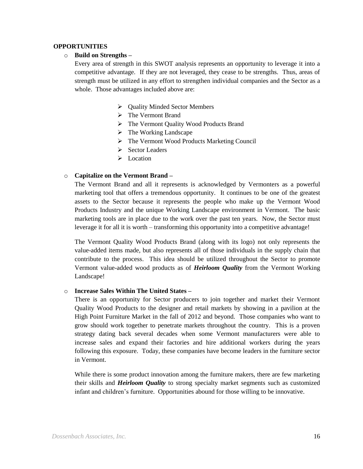#### **OPPORTUNITIES**

#### o **Build on Strengths –**

Every area of strength in this SWOT analysis represents an opportunity to leverage it into a competitive advantage. If they are not leveraged, they cease to be strengths. Thus, areas of strength must be utilized in any effort to strengthen individual companies and the Sector as a whole. Those advantages included above are:

- $\triangleright$  Quality Minded Sector Members
- > The Vermont Brand
- The Vermont Quality Wood Products Brand
- $\triangleright$  The Working Landscape
- The Vermont Wood Products Marketing Council
- $\triangleright$  Sector Leaders
- $\triangleright$  Location

#### o **Capitalize on the Vermont Brand –**

The Vermont Brand and all it represents is acknowledged by Vermonters as a powerful marketing tool that offers a tremendous opportunity. It continues to be one of the greatest assets to the Sector because it represents the people who make up the Vermont Wood Products Industry and the unique Working Landscape environment in Vermont. The basic marketing tools are in place due to the work over the past ten years. Now, the Sector must leverage it for all it is worth – transforming this opportunity into a competitive advantage!

The Vermont Quality Wood Products Brand (along with its logo) not only represents the value-added items made, but also represents all of those individuals in the supply chain that contribute to the process. This idea should be utilized throughout the Sector to promote Vermont value-added wood products as of *Heirloom Quality* from the Vermont Working Landscape!

#### o **Increase Sales Within The United States –**

There is an opportunity for Sector producers to join together and market their Vermont Quality Wood Products to the designer and retail markets by showing in a pavilion at the High Point Furniture Market in the fall of 2012 and beyond. Those companies who want to grow should work together to penetrate markets throughout the country. This is a proven strategy dating back several decades when some Vermont manufacturers were able to increase sales and expand their factories and hire additional workers during the years following this exposure. Today, these companies have become leaders in the furniture sector in Vermont.

While there is some product innovation among the furniture makers, there are few marketing their skills and *Heirloom Quality* to strong specialty market segments such as customized infant and children's furniture. Opportunities abound for those willing to be innovative.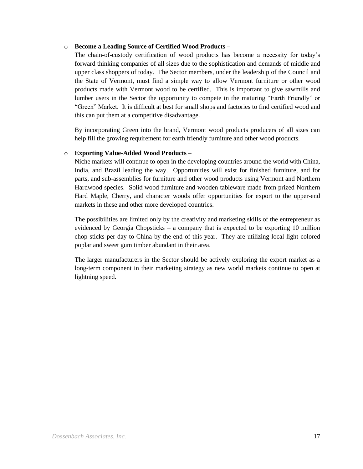#### o **Become a Leading Source of Certified Wood Products –**

The chain-of-custody certification of wood products has become a necessity for today's forward thinking companies of all sizes due to the sophistication and demands of middle and upper class shoppers of today. The Sector members, under the leadership of the Council and the State of Vermont, must find a simple way to allow Vermont furniture or other wood products made with Vermont wood to be certified. This is important to give sawmills and lumber users in the Sector the opportunity to compete in the maturing "Earth Friendly" or "Green" Market. It is difficult at best for small shops and factories to find certified wood and this can put them at a competitive disadvantage.

By incorporating Green into the brand, Vermont wood products producers of all sizes can help fill the growing requirement for earth friendly furniture and other wood products.

#### o **Exporting Value-Added Wood Products –**

Niche markets will continue to open in the developing countries around the world with China, India, and Brazil leading the way. Opportunities will exist for finished furniture, and for parts, and sub-assemblies for furniture and other wood products using Vermont and Northern Hardwood species. Solid wood furniture and wooden tableware made from prized Northern Hard Maple, Cherry, and character woods offer opportunities for export to the upper-end markets in these and other more developed countries.

The possibilities are limited only by the creativity and marketing skills of the entrepreneur as evidenced by Georgia Chopsticks – a company that is expected to be exporting 10 million chop sticks per day to China by the end of this year. They are utilizing local light colored poplar and sweet gum timber abundant in their area.

The larger manufacturers in the Sector should be actively exploring the export market as a long-term component in their marketing strategy as new world markets continue to open at lightning speed.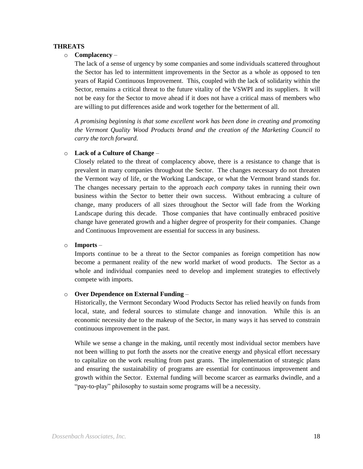#### **THREATS**

#### o **Complacency** –

The lack of a sense of urgency by some companies and some individuals scattered throughout the Sector has led to intermittent improvements in the Sector as a whole as opposed to ten years of Rapid Continuous Improvement. This, coupled with the lack of solidarity within the Sector, remains a critical threat to the future vitality of the VSWPI and its suppliers. It will not be easy for the Sector to move ahead if it does not have a critical mass of members who are willing to put differences aside and work together for the betterment of all.

*A promising beginning is that some excellent work has been done in creating and promoting the Vermont Quality Wood Products brand and the creation of the Marketing Council to carry the torch forward.*

#### o **Lack of a Culture of Change** –

Closely related to the threat of complacency above, there is a resistance to change that is prevalent in many companies throughout the Sector. The changes necessary do not threaten the Vermont way of life, or the Working Landscape, or what the Vermont brand stands for. The changes necessary pertain to the approach *each company* takes in running their own business within the Sector to better their own success. Without embracing a culture of change, many producers of all sizes throughout the Sector will fade from the Working Landscape during this decade. Those companies that have continually embraced positive change have generated growth and a higher degree of prosperity for their companies. Change and Continuous Improvement are essential for success in any business.

#### o **Imports** –

Imports continue to be a threat to the Sector companies as foreign competition has now become a permanent reality of the new world market of wood products. The Sector as a whole and individual companies need to develop and implement strategies to effectively compete with imports.

#### o **Over Dependence on External Funding** –

Historically, the Vermont Secondary Wood Products Sector has relied heavily on funds from local, state, and federal sources to stimulate change and innovation. While this is an economic necessity due to the makeup of the Sector, in many ways it has served to constrain continuous improvement in the past.

While we sense a change in the making, until recently most individual sector members have not been willing to put forth the assets nor the creative energy and physical effort necessary to capitalize on the work resulting from past grants. The implementation of strategic plans and ensuring the sustainability of programs are essential for continuous improvement and growth within the Sector. External funding will become scarcer as earmarks dwindle, and a "pay-to-play" philosophy to sustain some programs will be a necessity.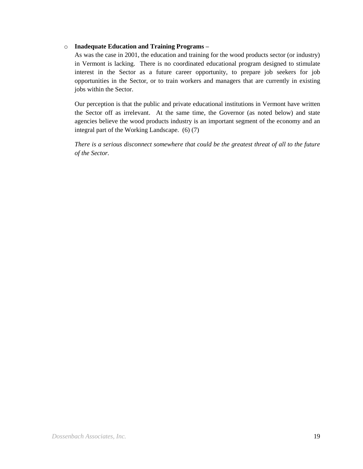#### o **Inadequate Education and Training Programs –**

As was the case in 2001, the education and training for the wood products sector (or industry) in Vermont is lacking. There is no coordinated educational program designed to stimulate interest in the Sector as a future career opportunity, to prepare job seekers for job opportunities in the Sector, or to train workers and managers that are currently in existing jobs within the Sector.

Our perception is that the public and private educational institutions in Vermont have written the Sector off as irrelevant. At the same time, the Governor (as noted below) and state agencies believe the wood products industry is an important segment of the economy and an integral part of the Working Landscape. (6) (7)

*There is a serious disconnect somewhere that could be the greatest threat of all to the future of the Sector.*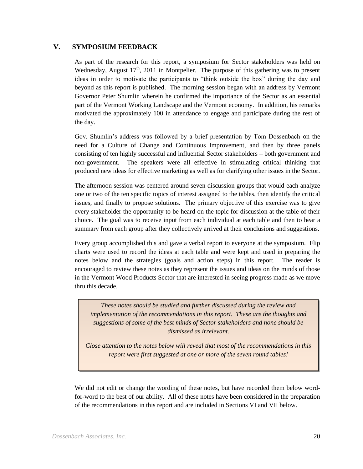#### **V. SYMPOSIUM FEEDBACK**

As part of the research for this report, a symposium for Sector stakeholders was held on Wednesday, August  $17<sup>th</sup>$ , 2011 in Montpelier. The purpose of this gathering was to present ideas in order to motivate the participants to "think outside the box" during the day and beyond as this report is published. The morning session began with an address by Vermont Governor Peter Shumlin wherein he confirmed the importance of the Sector as an essential part of the Vermont Working Landscape and the Vermont economy. In addition, his remarks motivated the approximately 100 in attendance to engage and participate during the rest of the day.

Gov. Shumlin's address was followed by a brief presentation by Tom Dossenbach on the need for a Culture of Change and Continuous Improvement, and then by three panels consisting of ten highly successful and influential Sector stakeholders – both government and non-government. The speakers were all effective in stimulating critical thinking that produced new ideas for effective marketing as well as for clarifying other issues in the Sector.

The afternoon session was centered around seven discussion groups that would each analyze one or two of the ten specific topics of interest assigned to the tables, then identify the critical issues, and finally to propose solutions. The primary objective of this exercise was to give every stakeholder the opportunity to be heard on the topic for discussion at the table of their choice. The goal was to receive input from each individual at each table and then to hear a summary from each group after they collectively arrived at their conclusions and suggestions.

Every group accomplished this and gave a verbal report to everyone at the symposium. Flip charts were used to record the ideas at each table and were kept and used in preparing the notes below and the strategies (goals and action steps) in this report. The reader is encouraged to review these notes as they represent the issues and ideas on the minds of those in the Vermont Wood Products Sector that are interested in seeing progress made as we move thru this decade.

*These notes should be studied and further discussed during the review and implementation of the recommendations in this report. These are the thoughts and suggestions of some of the best minds of Sector stakeholders and none should be dismissed as irrelevant.*

*Close attention to the notes below will reveal that most of the recommendations in this report were first suggested at one or more of the seven round tables!*

We did not edit or change the wording of these notes, but have recorded them below wordfor-word to the best of our ability. All of these notes have been considered in the preparation of the recommendations in this report and are included in Sections VI and VII below.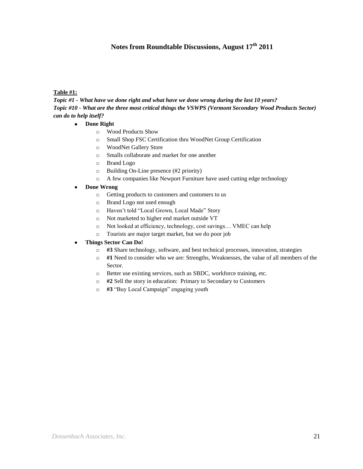## **Notes from Roundtable Discussions, August 17th 2011**

#### **Table #1:**

*Topic #1 - What have we done right and what have we done wrong during the last 10 years? Topic #10 - What are the three most critical things the VSWPS (Vermont Secondary Wood Products Sector) can do to help itself?*

#### **Done Right**  $\bullet$

- o Wood Products Show
- o Small Shop FSC Certification thru WoodNet Group Certification
- o WoodNet Gallery Store
- o Smalls collaborate and market for one another
- o Brand Logo
- o Building On-Line presence (#2 priority)
- o A few companies like Newport Furniture have used cutting edge technology
- **Done Wrong**  $\bullet$ 
	- o Getting products to customers and customers to us
	- o Brand Logo not used enough
	- o Haven't told "Local Grown, Local Made" Story
	- o Not marketed to higher end market outside VT
	- o Not looked at efficiency, technology, cost savings… VMEC can help
	- o Tourists are major target market, but we do poor job

#### **Things Sector Can Do!**

- o **#3** Share technology, software, and best technical processes, innovation, strategies
- o **#1** Need to consider who we are: Strengths, Weaknesses, the value of all members of the Sector.
- o Better use existing services, such as SBDC, workforce training, etc.
- o **#2** Sell the story in education: Primary to Secondary to Customers
- o **#3** "Buy Local Campaign" engaging youth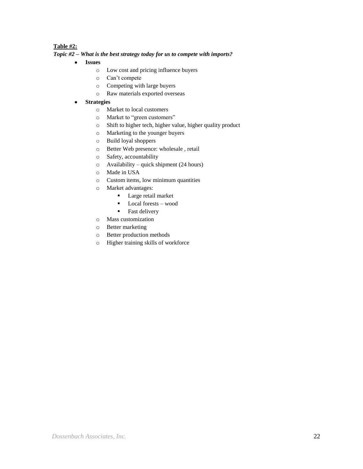#### **Table #2:**

#### *Topic #2 – What is the best strategy today for us to compete with imports?*

- $\bullet$ **Issues**
	- o Low cost and pricing influence buyers
	- o Can't compete
	- o Competing with large buyers
	- o Raw materials exported overseas
- **Strategies**  $\bullet$ 
	- o Market to local customers
	- o Market to "green customers"
	- o Shift to higher tech, higher value, higher quality product
	- o Marketing to the younger buyers
	- o Build loyal shoppers
	- o Better Web presence: wholesale , retail
	- o Safety, accountability
	- o Availability quick shipment (24 hours)
	- o Made in USA
	- o Custom items, low minimum quantities
	- o Market advantages:
		- **Large retail market**
		- Local forests wood
		- **Fast delivery**
	- o Mass customization
	- o Better marketing
	- o Better production methods
	- o Higher training skills of workforce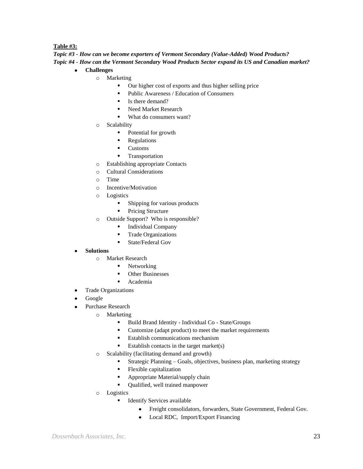#### **Table #3:**

*Topic #3 - How can we become exporters of Vermont Secondary (Value-Added) Wood Products? Topic #4 - How can the Vermont Secondary Wood Products Sector expand its US and Canadian market?*

- **Challenges**  $\bullet$ 
	- o Marketing
		- Our higher cost of exports and thus higher selling price
		- Public Awareness / Education of Consumers
		- Is there demand?
		- Need Market Research
		- What do consumers want?
	- o Scalability
		- Potential for growth
		- Regulations
		- **Customs**
		- **Transportation**
	- o Establishing appropriate Contacts
	- o Cultural Considerations
	- o Time
	- o Incentive/Motivation
	- o Logistics
		- **Shipping for various products**
		- Pricing Structure
	- o Outside Support? Who is responsible?
		- **Individual Company**
		- **Trade Organizations**
		- **State/Federal Gov**
- **Solutions**
	- o Market Research
		- Networking
		- Other Businesses
		- Academia
- Trade Organizations
- Google
- Purchase Research  $\bullet$ 
	- o Marketing
		- Build Brand Identity Individual Co State/Groups
		- Customize (adapt product) to meet the market requirements
		- Establish communications mechanism
		- Establish contacts in the target market $(s)$
	- o Scalability (facilitating demand and growth)
		- Strategic Planning Goals, objectives, business plan, marketing strategy
		- Flexible capitalization
		- Appropriate Material/supply chain
		- Qualified, well trained manpower
	- o Logistics
		- **Identify Services available** 
			- $\bullet$ Freight consolidators, forwarders, State Government, Federal Gov.
			- Local RDC, Import/Export Financing $\bullet$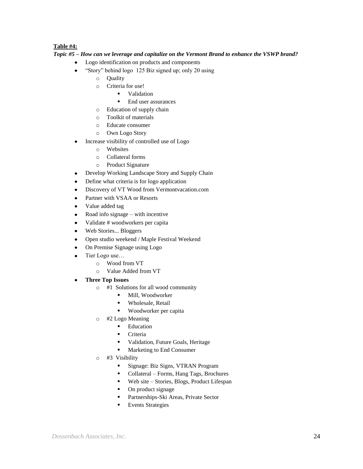#### **Table #4:**

#### *Topic #5 – How can we leverage and capitalize on the Vermont Brand to enhance the VSWP brand?*

- Logo identification on products and components  $\bullet$
- "Story" behind logo 125 Biz signed up; only 20 using  $\bullet$ 
	- o Quality
	- o Criteria for use!
		- **validation**
		- End user assurances
	- o Education of supply chain
	- o Toolkit of materials
	- o Educate consumer
	- o Own Logo Story
- Increase visibility of controlled use of Logo
	- o Websites
	- o Collateral forms
	- o Product Signature
- Develop Working Landscape Story and Supply Chain  $\bullet$
- $\bullet$ Define what criteria is for logo application
- Discovery of VT Wood from Vermontvacation.com  $\bullet$
- Partner with VSAA or Resorts  $\bullet$
- Value added tag  $\bullet$
- Road info signage with incentive  $\bullet$
- Validate # woodworkers per capita  $\bullet$
- Web Stories... Bloggers  $\bullet$
- Open studio weekend / Maple Festival Weekend  $\bullet$
- On Premise Signage using Logo  $\bullet$
- Tier Logo use…  $\bullet$ 
	- o Wood from VT
	- o Value Added from VT
- **Three Top Issues**
	- o #1 Solutions for all wood community
		- $\blacksquare$  Mill, Woodworker
		- **Wholesale, Retail**
		- Woodworker per capita
	- o #2 Logo Meaning
		- **Education**
		- **Criteria**
		- **•** Validation, Future Goals, Heritage
		- **Marketing to End Consumer**
	- o #3 Visibility
		- Signage: Biz Signs, VTRAN Program
		- Collateral Forms, Hang Tags, Brochures
		- Web site Stories, Blogs, Product Lifespan
		- On product signage
		- **Partnerships-Ski Areas, Private Sector**
		- **Events Strategies**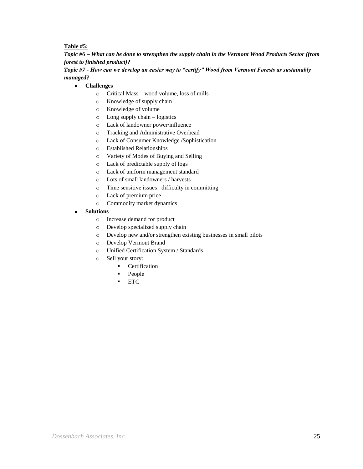#### **Table #5:**

*Topic #6 – What can be done to strengthen the supply chain in the Vermont Wood Products Sector (from forest to finished product)?* 

*Topic #7 - How can we develop an easier way to "certify" Wood from Vermont Forests as sustainably managed?*

#### $\bullet$ **Challenges**

- o Critical Mass wood volume, loss of mills
- o Knowledge of supply chain
- o Knowledge of volume
- o Long supply chain logistics
- o Lack of landowner power/influence
- o Tracking and Administrative Overhead
- o Lack of Consumer Knowledge /Sophistication
- o Established Relationships
- o Variety of Modes of Buying and Selling
- o Lack of predictable supply of logs
- o Lack of uniform management standard
- o Lots of small landowners / harvests
- o Time sensitive issues –difficulty in committing
- o Lack of premium price
- o Commodity market dynamics
- **Solutions**
	- o Increase demand for product
	- o Develop specialized supply chain
	- o Develop new and/or strengthen existing businesses in small pilots
	- o Develop Vermont Brand
	- o Unified Certification System / Standards
	- o Sell your story:
		- **Certification**
		- People
		- **ETC**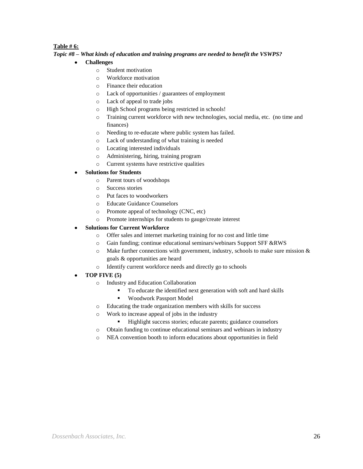#### **Table # 6:**

#### *Topic #8 – What kinds of education and training programs are needed to benefit the VSWPS?*

#### **Challenges**

- o Student motivation
- o Workforce motivation
- o Finance their education
- o Lack of opportunities / guarantees of employment
- o Lack of appeal to trade jobs
- o High School programs being restricted in schools!
- o Training current workforce with new technologies, social media, etc. (no time and finances)
- o Needing to re-educate where public system has failed.
- o Lack of understanding of what training is needed
- o Locating interested individuals
- o Administering, hiring, training program
- o Current systems have restrictive qualities

#### **Solutions for Students**

- o Parent tours of woodshops
- o Success stories
- o Put faces to woodworkers
- o Educate Guidance Counselors
- o Promote appeal of technology (CNC, etc)
- o Promote internships for students to gauge/create interest

#### **Solutions for Current Workforce**

- o Offer sales and internet marketing training for no cost and little time
- o Gain funding; continue educational seminars/webinars Support SFF &RWS
- o Make further connections with government, industry, schools to make sure mission & goals & opportunities are heard
- o Identify current workforce needs and directly go to schools
- **TOP FIVE (5)**
	- o Industry and Education Collaboration
		- To educate the identified next generation with soft and hard skills
		- Woodwork Passport Model
	- o Educating the trade organization members with skills for success
	- o Work to increase appeal of jobs in the industry
		- Highlight success stories; educate parents; guidance counselors
	- o Obtain funding to continue educational seminars and webinars in industry
	- o NEA convention booth to inform educations about opportunities in field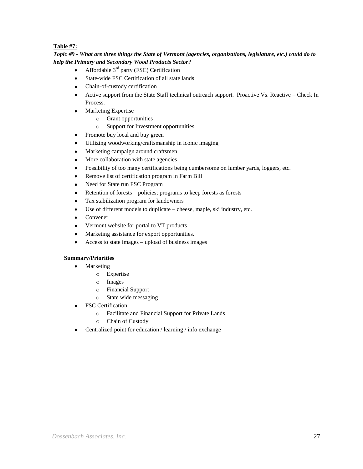#### **Table #7:**

#### *Topic #9 - What are three things the State of Vermont (agencies, organizations, legislature, etc.) could do to help the Primary and Secondary Wood Products Sector?*

- Affordable 3rd party (FSC) Certification  $\bullet$
- $\bullet$ State-wide FSC Certification of all state lands
- Chain-of-custody certification
- $\bullet$ Active support from the State Staff technical outreach support. Proactive Vs. Reactive – Check In Process.
- Marketing Expertise  $\bullet$ 
	- o Grant opportunities
	- o Support for Investment opportunities
- $\bullet$ Promote buy local and buy green
- Utilizing woodworking/craftsmanship in iconic imaging  $\bullet$
- Marketing campaign around craftsmen  $\bullet$
- More collaboration with state agencies  $\bullet$
- Possibility of too many certifications being cumbersome on lumber yards, loggers, etc.  $\bullet$
- Remove list of certification program in Farm Bill  $\bullet$
- Need for State run FSC Program  $\bullet$
- Retention of forests policies; programs to keep forests as forests  $\bullet$
- Tax stabilization program for landowners  $\bullet$
- Use of different models to duplicate cheese, maple, ski industry, etc.  $\bullet$
- $\bullet$ Convener
- Vermont website for portal to VT products  $\bullet$
- Marketing assistance for export opportunities.  $\bullet$
- Access to state images upload of business images

#### **Summary/Priorities**

- Marketing  $\bullet$ 
	- o Expertise
	- o Images
	- o Financial Support
	- o State wide messaging
- FSC Certification
	- o Facilitate and Financial Support for Private Lands
	- o Chain of Custody
- Centralized point for education / learning / info exchange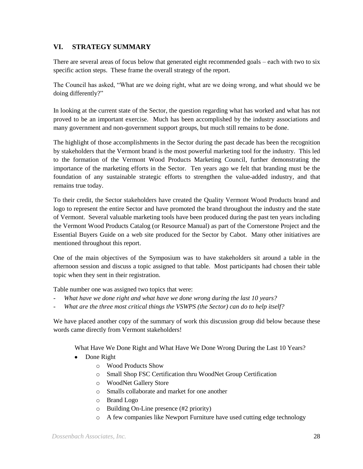## **VI. STRATEGY SUMMARY**

There are several areas of focus below that generated eight recommended goals – each with two to six specific action steps. These frame the overall strategy of the report.

The Council has asked, "What are we doing right, what are we doing wrong, and what should we be doing differently?"

In looking at the current state of the Sector, the question regarding what has worked and what has not proved to be an important exercise. Much has been accomplished by the industry associations and many government and non-government support groups, but much still remains to be done.

The highlight of those accomplishments in the Sector during the past decade has been the recognition by stakeholders that the Vermont brand is the most powerful marketing tool for the industry. This led to the formation of the Vermont Wood Products Marketing Council, further demonstrating the importance of the marketing efforts in the Sector. Ten years ago we felt that branding must be the foundation of any sustainable strategic efforts to strengthen the value-added industry, and that remains true today.

To their credit, the Sector stakeholders have created the Quality Vermont Wood Products brand and logo to represent the entire Sector and have promoted the brand throughout the industry and the state of Vermont. Several valuable marketing tools have been produced during the past ten years including the Vermont Wood Products Catalog (or Resource Manual) as part of the Cornerstone Project and the Essential Buyers Guide on a web site produced for the Sector by Cabot. Many other initiatives are mentioned throughout this report.

One of the main objectives of the Symposium was to have stakeholders sit around a table in the afternoon session and discuss a topic assigned to that table. Most participants had chosen their table topic when they sent in their registration.

Table number one was assigned two topics that were:

- *What have we done right and what have we done wrong during the last 10 years?*
- *What are the three most critical things the VSWPS (the Sector) can do to help itself?*

We have placed another copy of the summary of work this discussion group did below because these words came directly from Vermont stakeholders!

What Have We Done Right and What Have We Done Wrong During the Last 10 Years?

- Done Right
	- o Wood Products Show
	- o Small Shop FSC Certification thru WoodNet Group Certification
	- o WoodNet Gallery Store
	- o Smalls collaborate and market for one another
	- o Brand Logo
	- o Building On-Line presence (#2 priority)
	- o A few companies like Newport Furniture have used cutting edge technology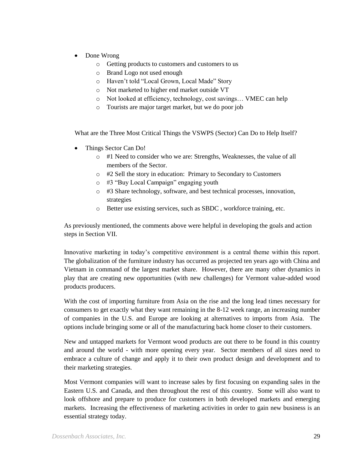- Done Wrong
	- o Getting products to customers and customers to us
	- o Brand Logo not used enough
	- o Haven't told "Local Grown, Local Made" Story
	- o Not marketed to higher end market outside VT
	- o Not looked at efficiency, technology, cost savings… VMEC can help
	- o Tourists are major target market, but we do poor job

What are the Three Most Critical Things the VSWPS (Sector) Can Do to Help Itself?

- Things Sector Can Do!
	- o #1 Need to consider who we are: Strengths, Weaknesses, the value of all members of the Sector.
	- o #2 Sell the story in education: Primary to Secondary to Customers
	- o #3 "Buy Local Campaign" engaging youth
	- o #3 Share technology, software, and best technical processes, innovation, strategies
	- o Better use existing services, such as SBDC , workforce training, etc.

As previously mentioned, the comments above were helpful in developing the goals and action steps in Section VII.

Innovative marketing in today's competitive environment is a central theme within this report. The globalization of the furniture industry has occurred as projected ten years ago with China and Vietnam in command of the largest market share. However, there are many other dynamics in play that are creating new opportunities (with new challenges) for Vermont value-added wood products producers.

With the cost of importing furniture from Asia on the rise and the long lead times necessary for consumers to get exactly what they want remaining in the 8-12 week range, an increasing number of companies in the U.S. and Europe are looking at alternatives to imports from Asia. The options include bringing some or all of the manufacturing back home closer to their customers.

New and untapped markets for Vermont wood products are out there to be found in this country and around the world - with more opening every year. Sector members of all sizes need to embrace a culture of change and apply it to their own product design and development and to their marketing strategies.

Most Vermont companies will want to increase sales by first focusing on expanding sales in the Eastern U.S. and Canada, and then throughout the rest of this country. Some will also want to look offshore and prepare to produce for customers in both developed markets and emerging markets. Increasing the effectiveness of marketing activities in order to gain new business is an essential strategy today.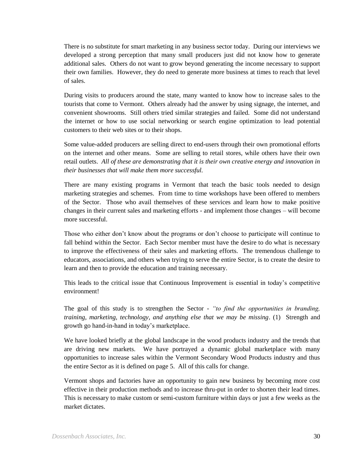There is no substitute for smart marketing in any business sector today. During our interviews we developed a strong perception that many small producers just did not know how to generate additional sales. Others do not want to grow beyond generating the income necessary to support their own families. However, they do need to generate more business at times to reach that level of sales.

During visits to producers around the state, many wanted to know how to increase sales to the tourists that come to Vermont. Others already had the answer by using signage, the internet, and convenient showrooms. Still others tried similar strategies and failed. Some did not understand the internet or how to use social networking or search engine optimization to lead potential customers to their web sites or to their shops.

Some value-added producers are selling direct to end-users through their own promotional efforts on the internet and other means. Some are selling to retail stores, while others have their own retail outlets. *All of these are demonstrating that it is their own creative energy and innovation in their businesses that will make them more successful.*

There are many existing programs in Vermont that teach the basic tools needed to design marketing strategies and schemes. From time to time workshops have been offered to members of the Sector. Those who avail themselves of these services and learn how to make positive changes in their current sales and marketing efforts - and implement those changes – will become more successful.

Those who either don't know about the programs or don't choose to participate will continue to fall behind within the Sector. Each Sector member must have the desire to do what is necessary to improve the effectiveness of their sales and marketing efforts. The tremendous challenge to educators, associations, and others when trying to serve the entire Sector, is to create the desire to learn and then to provide the education and training necessary.

This leads to the critical issue that Continuous Improvement is essential in today's competitive environment!

The goal of this study is to strengthen the Sector - *"to find the opportunities in branding, training, marketing, technology, and anything else that we may be missing*. (1) Strength and growth go hand-in-hand in today's marketplace.

We have looked briefly at the global landscape in the wood products industry and the trends that are driving new markets. We have portrayed a dynamic global marketplace with many opportunities to increase sales within the Vermont Secondary Wood Products industry and thus the entire Sector as it is defined on page 5. All of this calls for change.

Vermont shops and factories have an opportunity to gain new business by becoming more cost effective in their production methods and to increase thru-put in order to shorten their lead times. This is necessary to make custom or semi-custom furniture within days or just a few weeks as the market dictates.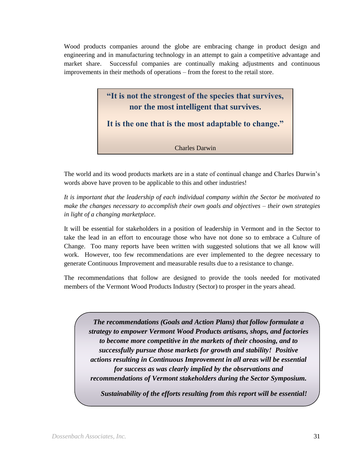Wood products companies around the globe are embracing change in product design and engineering and in manufacturing technology in an attempt to gain a competitive advantage and market share. Successful companies are continually making adjustments and continuous improvements in their methods of operations – from the forest to the retail store.



The world and its wood products markets are in a state of continual change and Charles Darwin's words above have proven to be applicable to this and other industries!

*It is important that the leadership of each individual company within the Sector be motivated to make the changes necessary to accomplish their own goals and objectives – their own strategies in light of a changing marketplace.* 

It will be essential for stakeholders in a position of leadership in Vermont and in the Sector to take the lead in an effort to encourage those who have not done so to embrace a Culture of Change. Too many reports have been written with suggested solutions that we all know will work. However, too few recommendations are ever implemented to the degree necessary to generate Continuous Improvement and measurable results due to a resistance to change.

The recommendations that follow are designed to provide the tools needed for motivated members of the Vermont Wood Products Industry (Sector) to prosper in the years ahead.

*The recommendations (Goals and Action Plans) that follow formulate a strategy to empower Vermont Wood Products artisans, shops, and factories to become more competitive in the markets of their choosing, and to successfully pursue those markets for growth and stability! Positive actions resulting in Continuous Improvement in all areas will be essential for success as was clearly implied by the observations and recommendations of Vermont stakeholders during the Sector Symposium.*

*Sustainability of the efforts resulting from this report will be essential!*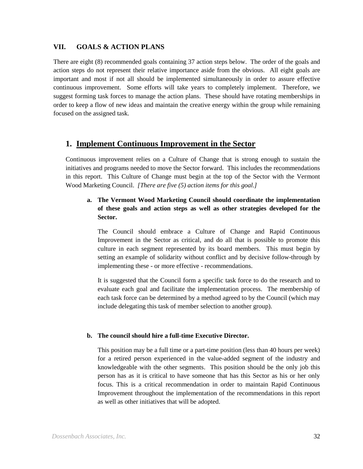#### **VII. GOALS & ACTION PLANS**

There are eight (8) recommended goals containing 37 action steps below. The order of the goals and action steps do not represent their relative importance aside from the obvious. All eight goals are important and most if not all should be implemented simultaneously in order to assure effective continuous improvement. Some efforts will take years to completely implement. Therefore, we suggest forming task forces to manage the action plans. These should have rotating memberships in order to keep a flow of new ideas and maintain the creative energy within the group while remaining focused on the assigned task.

## **1. Implement Continuous Improvement in the Sector**

Continuous improvement relies on a Culture of Change that is strong enough to sustain the initiatives and programs needed to move the Sector forward. This includes the recommendations in this report. This Culture of Change must begin at the top of the Sector with the Vermont Wood Marketing Council. *[There are five (5) action items for this goal.]*

## **a. The Vermont Wood Marketing Council should coordinate the implementation of these goals and action steps as well as other strategies developed for the Sector.**

The Council should embrace a Culture of Change and Rapid Continuous Improvement in the Sector as critical, and do all that is possible to promote this culture in each segment represented by its board members. This must begin by setting an example of solidarity without conflict and by decisive follow-through by implementing these - or more effective - recommendations.

It is suggested that the Council form a specific task force to do the research and to evaluate each goal and facilitate the implementation process. The membership of each task force can be determined by a method agreed to by the Council (which may include delegating this task of member selection to another group).

#### **b. The council should hire a full-time Executive Director.**

This position may be a full time or a part-time position (less than 40 hours per week) for a retired person experienced in the value-added segment of the industry and knowledgeable with the other segments. This position should be the only job this person has as it is critical to have someone that has this Sector as his or her only focus. This is a critical recommendation in order to maintain Rapid Continuous Improvement throughout the implementation of the recommendations in this report as well as other initiatives that will be adopted.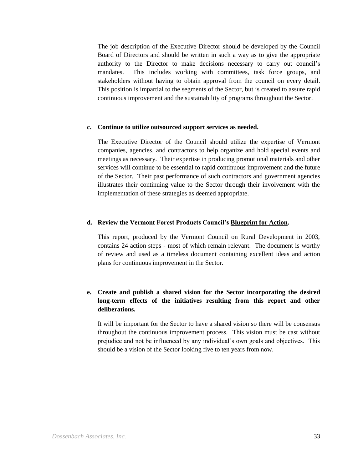The job description of the Executive Director should be developed by the Council Board of Directors and should be written in such a way as to give the appropriate authority to the Director to make decisions necessary to carry out council's mandates. This includes working with committees, task force groups, and stakeholders without having to obtain approval from the council on every detail. This position is impartial to the segments of the Sector, but is created to assure rapid continuous improvement and the sustainability of programs throughout the Sector.

#### **c. Continue to utilize outsourced support services as needed.**

The Executive Director of the Council should utilize the expertise of Vermont companies, agencies, and contractors to help organize and hold special events and meetings as necessary. Their expertise in producing promotional materials and other services will continue to be essential to rapid continuous improvement and the future of the Sector. Their past performance of such contractors and government agencies illustrates their continuing value to the Sector through their involvement with the implementation of these strategies as deemed appropriate.

#### **d. Review the Vermont Forest Products Council's Blueprint for Action.**

This report, produced by the Vermont Council on Rural Development in 2003, contains 24 action steps - most of which remain relevant. The document is worthy of review and used as a timeless document containing excellent ideas and action plans for continuous improvement in the Sector.

## **e. Create and publish a shared vision for the Sector incorporating the desired long-term effects of the initiatives resulting from this report and other deliberations.**

It will be important for the Sector to have a shared vision so there will be consensus throughout the continuous improvement process. This vision must be cast without prejudice and not be influenced by any individual's own goals and objectives. This should be a vision of the Sector looking five to ten years from now.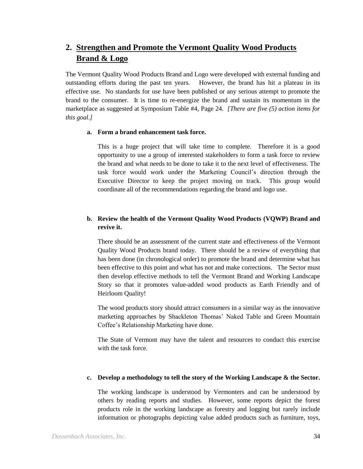## **2. Strengthen and Promote the Vermont Quality Wood Products Brand & Logo**

The Vermont Quality Wood Products Brand and Logo were developed with external funding and outstanding efforts during the past ten years. However, the brand has hit a plateau in its effective use. No standards for use have been published or any serious attempt to promote the brand to the consumer. It is time to re-energize the brand and sustain its momentum in the marketplace as suggested at Symposium Table #4, Page 24. *[There are five (5) action items for this goal.]*

#### **a. Form a brand enhancement task force.**

This is a huge project that will take time to complete. Therefore it is a good opportunity to use a group of interested stakeholders to form a task force to review the brand and what needs to be done to take it to the next level of effectiveness. The task force would work under the Marketing Council's direction through the Executive Director to keep the project moving on track. This group would coordinate all of the recommendations regarding the brand and logo use.

## **b. Review the health of the Vermont Quality Wood Products (VQWP) Brand and revive it.**

There should be an assessment of the current state and effectiveness of the Vermont Quality Wood Products brand today. There should be a review of everything that has been done (in chronological order) to promote the brand and determine what has been effective to this point and what has not and make corrections. The Sector must then develop effective methods to tell the Vermont Brand and Working Landscape Story so that it promotes value-added wood products as Earth Friendly and of Heirloom Quality!

The wood products story should attract consumers in a similar way as the innovative marketing approaches by Shackleton Thomas' Naked Table and Green Mountain Coffee's Relationship Marketing have done.

The State of Vermont may have the talent and resources to conduct this exercise with the task force.

#### **c. Develop a methodology to tell the story of the Working Landscape & the Sector.**

The working landscape is understood by Vermonters and can be understood by others by reading reports and studies. However, some reports depict the forest products role in the working landscape as forestry and logging but rarely include information or photographs depicting value added products such as furniture, toys,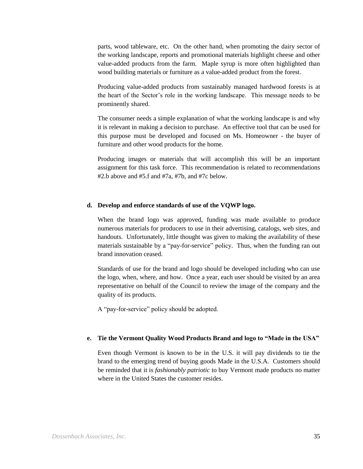parts, wood tableware, etc. On the other hand, when promoting the dairy sector of the working landscape, reports and promotional materials highlight cheese and other value-added products from the farm. Maple syrup is more often highlighted than wood building materials or furniture as a value-added product from the forest.

Producing value-added products from sustainably managed hardwood forests is at the heart of the Sector's role in the working landscape. This message needs to be prominently shared.

The consumer needs a simple explanation of what the working landscape is and why it is relevant in making a decision to purchase. An effective tool that can be used for this purpose must be developed and focused on Ms. Homeowner - the buyer of furniture and other wood products for the home.

Producing images or materials that will accomplish this will be an important assignment for this task force. This recommendation is related to recommendations #2.b above and #5.f and #7a, #7b, and #7c below.

#### **d. Develop and enforce standards of use of the VQWP logo.**

When the brand logo was approved, funding was made available to produce numerous materials for producers to use in their advertising, catalogs, web sites, and handouts. Unfortunately, little thought was given to making the availability of these materials sustainable by a "pay-for-service" policy. Thus, when the funding ran out brand innovation ceased.

Standards of use for the brand and logo should be developed including who can use the logo, when, where, and how. Once a year, each user should be visited by an area representative on behalf of the Council to review the image of the company and the quality of its products.

A "pay-for-service" policy should be adopted.

#### **e. Tie the Vermont Quality Wood Products Brand and logo to "Made in the USA"**

Even though Vermont is known to be in the U.S. it will pay dividends to tie the brand to the emerging trend of buying goods Made in the U.S.A. Customers should be reminded that it is *fashionably patriotic* to buy Vermont made products no matter where in the United States the customer resides.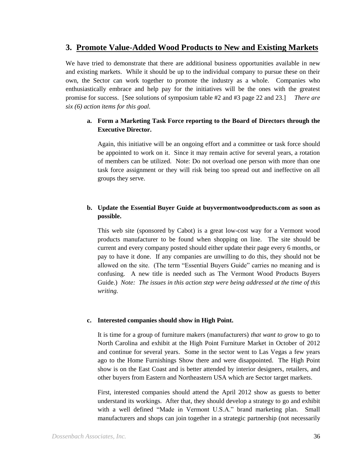## **3. Promote Value-Added Wood Products to New and Existing Markets**

We have tried to demonstrate that there are additional business opportunities available in new and existing markets. While it should be up to the individual company to pursue these on their own, the Sector can work together to promote the industry as a whole. Companies who enthusiastically embrace and help pay for the initiatives will be the ones with the greatest promise for success. [See solutions of symposium table #2 and #3 page 22 and 23.] *There are six (6) action items for this goal.*

## **a. Form a Marketing Task Force reporting to the Board of Directors through the Executive Director.**

Again, this initiative will be an ongoing effort and a committee or task force should be appointed to work on it. Since it may remain active for several years, a rotation of members can be utilized. Note: Do not overload one person with more than one task force assignment or they will risk being too spread out and ineffective on all groups they serve.

## **b. Update the Essential Buyer Guide at buyvermontwoodproducts.com as soon as possible.**

This web site (sponsored by Cabot) is a great low-cost way for a Vermont wood products manufacturer to be found when shopping on line. The site should be current and every company posted should either update their page every 6 months, or pay to have it done. If any companies are unwilling to do this, they should not be allowed on the site. (The term "Essential Buyers Guide" carries no meaning and is confusing. A new title is needed such as The Vermont Wood Products Buyers Guide.) *Note: The issues in this action step were being addressed at the time of this writing.*

#### **c. Interested companies should show in High Point.**

It is time for a group of furniture makers (manufacturers) *that want to grow* to go to North Carolina and exhibit at the High Point Furniture Market in October of 2012 and continue for several years. Some in the sector went to Las Vegas a few years ago to the Home Furnishings Show there and were disappointed. The High Point show is on the East Coast and is better attended by interior designers, retailers, and other buyers from Eastern and Northeastern USA which are Sector target markets.

First, interested companies should attend the April 2012 show as guests to better understand its workings. After that, they should develop a strategy to go and exhibit with a well defined "Made in Vermont U.S.A." brand marketing plan. Small manufacturers and shops can join together in a strategic partnership (not necessarily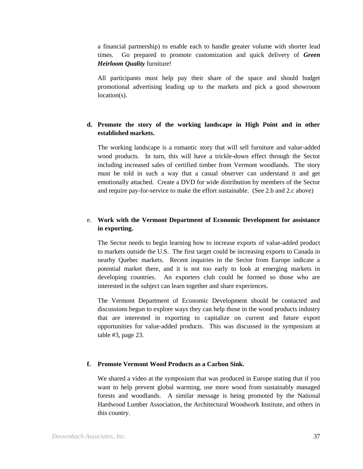a financial partnership) to enable each to handle greater volume with shorter lead times. Go prepared to promote customization and quick delivery of *Green Heirloom Quality* furniture!

All participants must help pay their share of the space and should budget promotional advertising leading up to the markets and pick a good showroom location(s).

## **d. Promote the story of the working landscape in High Point and in other established markets.**

The working landscape is a romantic story that will sell furniture and value-added wood products. In turn, this will have a trickle-down effect through the Sector including increased sales of certified timber from Vermont woodlands. The story must be told in such a way that a casual observer can understand it and get emotionally attached. Create a DVD for wide distribution by members of the Sector and require pay-for-service to make the effort sustainable. (See 2.b and 2.c above)

## e. **Work with the Vermont Department of Economic Development for assistance in exporting.**

The Sector needs to begin learning how to increase exports of value-added product to markets outside the U.S. The first target could be increasing exports to Canada in nearby Quebec markets. Recent inquiries in the Sector from Europe indicate a potential market there, and it is not too early to look at emerging markets in developing countries. An exporters club could be formed so those who are interested in the subject can learn together and share experiences.

The Vermont Department of Economic Development should be contacted and discussions begun to explore ways they can help those in the wood products industry that are interested in exporting to capitalize on current and future export opportunities for value-added products. This was discussed in the symposium at table #3, page 23.

#### **f. Promote Vermont Wood Products as a Carbon Sink.**

We shared a video at the symposium that was produced in Europe stating that if you want to help prevent global warming, use more wood from sustainably managed forests and woodlands. A similar message is being promoted by the National Hardwood Lumber Association, the Architectural Woodwork Institute, and others in this country.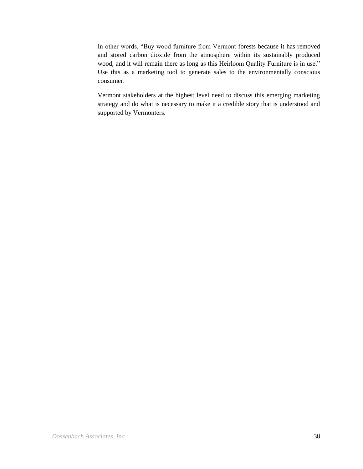In other words, "Buy wood furniture from Vermont forests because it has removed and stored carbon dioxide from the atmosphere within its sustainably produced wood, and it will remain there as long as this Heirloom Quality Furniture is in use." Use this as a marketing tool to generate sales to the environmentally conscious consumer.

Vermont stakeholders at the highest level need to discuss this emerging marketing strategy and do what is necessary to make it a credible story that is understood and supported by Vermonters.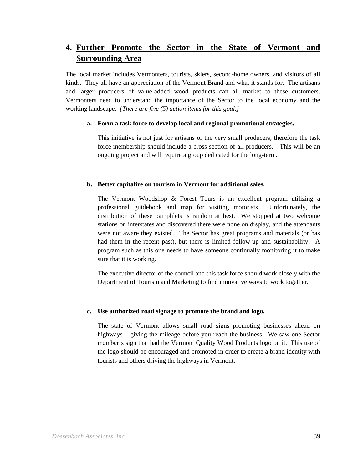## **4. Further Promote the Sector in the State of Vermont and Surrounding Area**

The local market includes Vermonters, tourists, skiers, second-home owners, and visitors of all kinds. They all have an appreciation of the Vermont Brand and what it stands for. The artisans and larger producers of value-added wood products can all market to these customers. Vermonters need to understand the importance of the Sector to the local economy and the working landscape. *[There are five (5) action items for this goal.]*

#### **a. Form a task force to develop local and regional promotional strategies.**

This initiative is not just for artisans or the very small producers, therefore the task force membership should include a cross section of all producers. This will be an ongoing project and will require a group dedicated for the long-term.

#### **b. Better capitalize on tourism in Vermont for additional sales.**

The Vermont Woodshop & Forest Tours is an excellent program utilizing a professional guidebook and map for visiting motorists. Unfortunately, the distribution of these pamphlets is random at best. We stopped at two welcome stations on interstates and discovered there were none on display, and the attendants were not aware they existed. The Sector has great programs and materials (or has had them in the recent past), but there is limited follow-up and sustainability! A program such as this one needs to have someone continually monitoring it to make sure that it is working.

The executive director of the council and this task force should work closely with the Department of Tourism and Marketing to find innovative ways to work together.

#### **c. Use authorized road signage to promote the brand and logo.**

The state of Vermont allows small road signs promoting businesses ahead on highways – giving the mileage before you reach the business. We saw one Sector member's sign that had the Vermont Quality Wood Products logo on it. This use of the logo should be encouraged and promoted in order to create a brand identity with tourists and others driving the highways in Vermont.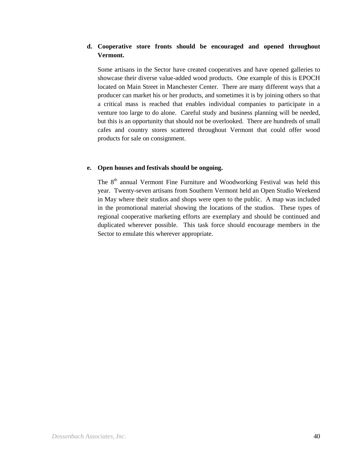## **d. Cooperative store fronts should be encouraged and opened throughout Vermont.**

Some artisans in the Sector have created cooperatives and have opened galleries to showcase their diverse value-added wood products. One example of this is EPOCH located on Main Street in Manchester Center. There are many different ways that a producer can market his or her products, and sometimes it is by joining others so that a critical mass is reached that enables individual companies to participate in a venture too large to do alone. Careful study and business planning will be needed, but this is an opportunity that should not be overlooked. There are hundreds of small cafes and country stores scattered throughout Vermont that could offer wood products for sale on consignment.

#### **e. Open houses and festivals should be ongoing.**

The  $8<sup>th</sup>$  annual Vermont Fine Furniture and Woodworking Festival was held this year. Twenty-seven artisans from Southern Vermont held an Open Studio Weekend in May where their studios and shops were open to the public. A map was included in the promotional material showing the locations of the studios. These types of regional cooperative marketing efforts are exemplary and should be continued and duplicated wherever possible. This task force should encourage members in the Sector to emulate this wherever appropriate.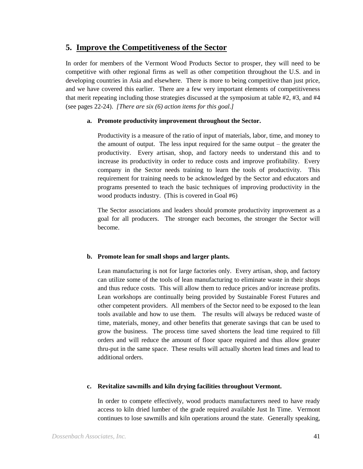## **5. Improve the Competitiveness of the Sector**

In order for members of the Vermont Wood Products Sector to prosper, they will need to be competitive with other regional firms as well as other competition throughout the U.S. and in developing countries in Asia and elsewhere. There is more to being competitive than just price, and we have covered this earlier. There are a few very important elements of competitiveness that merit repeating including those strategies discussed at the symposium at table #2, #3, and #4 (see pages 22-24). *[There are six (6) action items for this goal.]*

#### **a. Promote productivity improvement throughout the Sector.**

Productivity is a measure of the ratio of input of materials, labor, time, and money to the amount of output. The less input required for the same output – the greater the productivity. Every artisan, shop, and factory needs to understand this and to increase its productivity in order to reduce costs and improve profitability. Every company in the Sector needs training to learn the tools of productivity. This requirement for training needs to be acknowledged by the Sector and educators and programs presented to teach the basic techniques of improving productivity in the wood products industry. (This is covered in Goal #6)

The Sector associations and leaders should promote productivity improvement as a goal for all producers. The stronger each becomes, the stronger the Sector will become.

#### **b. Promote lean for small shops and larger plants.**

Lean manufacturing is not for large factories only. Every artisan, shop, and factory can utilize some of the tools of lean manufacturing to eliminate waste in their shops and thus reduce costs. This will allow them to reduce prices and/or increase profits. Lean workshops are continually being provided by Sustainable Forest Futures and other competent providers. All members of the Sector need to be exposed to the lean tools available and how to use them. The results will always be reduced waste of time, materials, money, and other benefits that generate savings that can be used to grow the business. The process time saved shortens the lead time required to fill orders and will reduce the amount of floor space required and thus allow greater thru-put in the same space. These results will actually shorten lead times and lead to additional orders.

#### **c. Revitalize sawmills and kiln drying facilities throughout Vermont.**

In order to compete effectively, wood products manufacturers need to have ready access to kiln dried lumber of the grade required available Just In Time. Vermont continues to lose sawmills and kiln operations around the state. Generally speaking,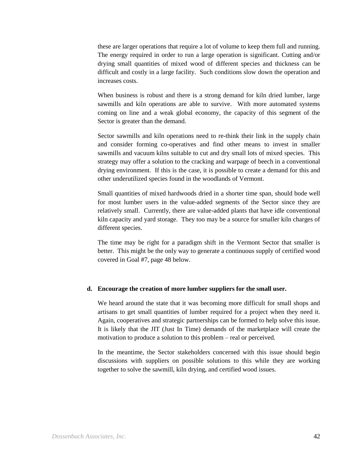these are larger operations that require a lot of volume to keep them full and running. The energy required in order to run a large operation is significant. Cutting and/or drying small quantities of mixed wood of different species and thickness can be difficult and costly in a large facility. Such conditions slow down the operation and increases costs.

When business is robust and there is a strong demand for kiln dried lumber, large sawmills and kiln operations are able to survive. With more automated systems coming on line and a weak global economy, the capacity of this segment of the Sector is greater than the demand.

Sector sawmills and kiln operations need to re-think their link in the supply chain and consider forming co-operatives and find other means to invest in smaller sawmills and vacuum kilns suitable to cut and dry small lots of mixed species. This strategy may offer a solution to the cracking and warpage of beech in a conventional drying environment. If this is the case, it is possible to create a demand for this and other underutilized species found in the woodlands of Vermont.

Small quantities of mixed hardwoods dried in a shorter time span, should bode well for most lumber users in the value-added segments of the Sector since they are relatively small. Currently, there are value-added plants that have idle conventional kiln capacity and yard storage. They too may be a source for smaller kiln charges of different species.

The time may be right for a paradigm shift in the Vermont Sector that smaller is better. This might be the only way to generate a continuous supply of certified wood covered in Goal #7, page 48 below.

#### **d. Encourage the creation of more lumber suppliers for the small user.**

We heard around the state that it was becoming more difficult for small shops and artisans to get small quantities of lumber required for a project when they need it. Again, cooperatives and strategic partnerships can be formed to help solve this issue. It is likely that the JIT (Just In Time) demands of the marketplace will create the motivation to produce a solution to this problem – real or perceived.

In the meantime, the Sector stakeholders concerned with this issue should begin discussions with suppliers on possible solutions to this while they are working together to solve the sawmill, kiln drying, and certified wood issues.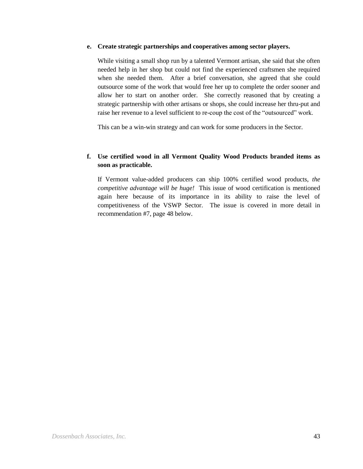#### **e. Create strategic partnerships and cooperatives among sector players.**

While visiting a small shop run by a talented Vermont artisan, she said that she often needed help in her shop but could not find the experienced craftsmen she required when she needed them. After a brief conversation, she agreed that she could outsource some of the work that would free her up to complete the order sooner and allow her to start on another order. She correctly reasoned that by creating a strategic partnership with other artisans or shops, she could increase her thru-put and raise her revenue to a level sufficient to re-coup the cost of the "outsourced" work.

This can be a win-win strategy and can work for some producers in the Sector.

### **f. Use certified wood in all Vermont Quality Wood Products branded items as soon as practicable.**

If Vermont value-added producers can ship 100% certified wood products, *the competitive advantage will be huge!* This issue of wood certification is mentioned again here because of its importance in its ability to raise the level of competitiveness of the VSWP Sector. The issue is covered in more detail in recommendation #7, page 48 below.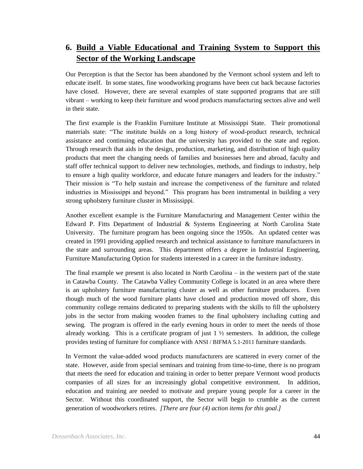## **6. Build a Viable Educational and Training System to Support this Sector of the Working Landscape**

Our Perception is that the Sector has been abandoned by the Vermont school system and left to educate itself. In some states, fine woodworking programs have been cut back because factories have closed. However, there are several examples of state supported programs that are still vibrant – working to keep their furniture and wood products manufacturing sectors alive and well in their state.

The first example is the Franklin Furniture Institute at Mississippi State. Their promotional materials state: "The institute builds on a long history of wood-product research, technical assistance and continuing education that the university has provided to the state and region. Through research that aids in the design, production, marketing, and distribution of high quality products that meet the changing needs of families and businesses here and abroad, faculty and staff offer technical support to deliver new technologies, methods, and findings to industry, help to ensure a high quality workforce, and educate future managers and leaders for the industry." Their mission is "To help sustain and increase the competiveness of the furniture and related industries in Mississippi and beyond." This program has been instrumental in building a very strong upholstery furniture cluster in Mississippi.

Another excellent example is the Furniture Manufacturing and Management Center within the Edward P. Fitts Department of Industrial & Systems Engineering at North Carolina State University. The furniture program has been ongoing since the 1950s. An updated center was created in 1991 providing applied research and technical assistance to furniture manufacturers in the state and surrounding areas. This department offers a degree in Industrial Engineering, Furniture Manufacturing Option for students interested in a career in the furniture industry.

The final example we present is also located in North Carolina – in the western part of the state in Catawba County. The Catawba Valley Community College is located in an area where there is an upholstery furniture manufacturing cluster as well as other furniture producers. Even though much of the wood furniture plants have closed and production moved off shore, this community college remains dedicated to preparing students with the skills to fill the upholstery jobs in the sector from making wooden frames to the final upholstery including cutting and sewing. The program is offered in the early evening hours in order to meet the needs of those already working. This is a certificate program of just  $1 \frac{1}{2}$  semesters. In addition, the college provides testing of furniture for compliance with ANSI / BIFMA 5.1-2011 furniture standards.

In Vermont the value-added wood products manufacturers are scattered in every corner of the state. However, aside from special seminars and training from time-to-time, there is no program that meets the need for education and training in order to better prepare Vermont wood products companies of all sizes for an increasingly global competitive environment. In addition, education and training are needed to motivate and prepare young people for a career in the Sector. Without this coordinated support, the Sector will begin to crumble as the current generation of woodworkers retires. *[There are four (4) action items for this goal.]*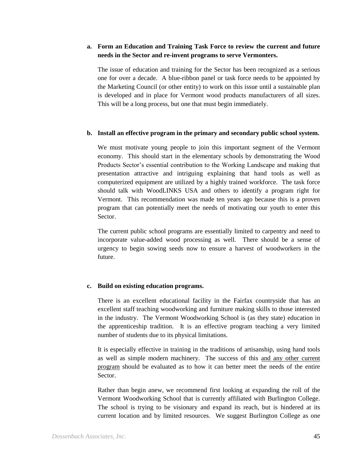#### **a. Form an Education and Training Task Force to review the current and future needs in the Sector and re-invent programs to serve Vermonters.**

The issue of education and training for the Sector has been recognized as a serious one for over a decade. A blue-ribbon panel or task force needs to be appointed by the Marketing Council (or other entity) to work on this issue until a sustainable plan is developed and in place for Vermont wood products manufacturers of all sizes. This will be a long process, but one that must begin immediately.

#### **b. Install an effective program in the primary and secondary public school system.**

We must motivate young people to join this important segment of the Vermont economy. This should start in the elementary schools by demonstrating the Wood Products Sector's essential contribution to the Working Landscape and making that presentation attractive and intriguing explaining that hand tools as well as computerized equipment are utilized by a highly trained workforce. The task force should talk with WoodLINKS USA and others to identify a program right for Vermont. This recommendation was made ten years ago because this is a proven program that can potentially meet the needs of motivating our youth to enter this Sector.

The current public school programs are essentially limited to carpentry and need to incorporate value-added wood processing as well. There should be a sense of urgency to begin sowing seeds now to ensure a harvest of woodworkers in the future.

#### **c. Build on existing education programs.**

There is an excellent educational facility in the Fairfax countryside that has an excellent staff teaching woodworking and furniture making skills to those interested in the industry. The Vermont Woodworking School is (as they state) education in the apprenticeship tradition. It is an effective program teaching a very limited number of students due to its physical limitations.

It is especially effective in training in the traditions of artisanship, using hand tools as well as simple modern machinery. The success of this and any other current program should be evaluated as to how it can better meet the needs of the entire Sector.

Rather than begin anew, we recommend first looking at expanding the roll of the Vermont Woodworking School that is currently affiliated with Burlington College. The school is trying to be visionary and expand its reach, but is hindered at its current location and by limited resources. We suggest Burlington College as one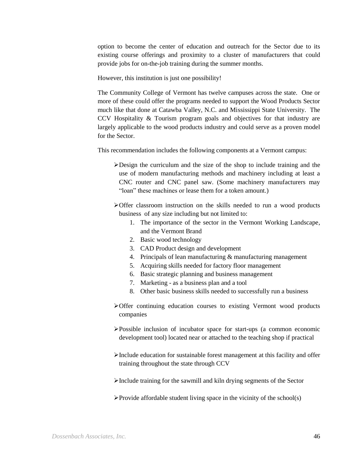option to become the center of education and outreach for the Sector due to its existing course offerings and proximity to a cluster of manufacturers that could provide jobs for on-the-job training during the summer months.

However, this institution is just one possibility!

The Community College of Vermont has twelve campuses across the state. One or more of these could offer the programs needed to support the Wood Products Sector much like that done at Catawba Valley, N.C. and Mississippi State University. The CCV Hospitality & Tourism program goals and objectives for that industry are largely applicable to the wood products industry and could serve as a proven model for the Sector.

This recommendation includes the following components at a Vermont campus:

- Design the curriculum and the size of the shop to include training and the use of modern manufacturing methods and machinery including at least a CNC router and CNC panel saw. (Some machinery manufacturers may "loan" these machines or lease them for a token amount.)
- Offer classroom instruction on the skills needed to run a wood products business of any size including but not limited to:
	- 1. The importance of the sector in the Vermont Working Landscape, and the Vermont Brand
	- 2. Basic wood technology
	- 3. CAD Product design and development
	- 4. Principals of lean manufacturing & manufacturing management
	- 5. Acquiring skills needed for factory floor management
	- 6. Basic strategic planning and business management
	- 7. Marketing as a business plan and a tool
	- 8. Other basic business skills needed to successfully run a business
- Offer continuing education courses to existing Vermont wood products companies
- Possible inclusion of incubator space for start-ups (a common economic development tool) located near or attached to the teaching shop if practical
- Include education for sustainable forest management at this facility and offer training throughout the state through CCV
- Include training for the sawmill and kiln drying segments of the Sector
- $\triangleright$  Provide affordable student living space in the vicinity of the school(s)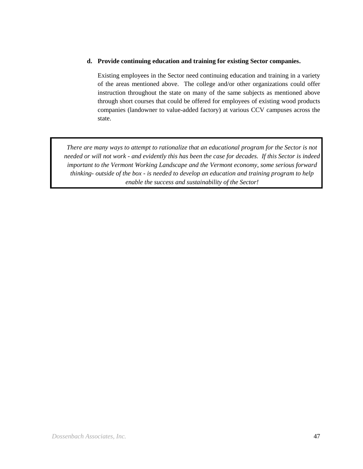#### **d. Provide continuing education and training for existing Sector companies.**

Existing employees in the Sector need continuing education and training in a variety of the areas mentioned above. The college and/or other organizations could offer instruction throughout the state on many of the same subjects as mentioned above through short courses that could be offered for employees of existing wood products companies (landowner to value-added factory) at various CCV campuses across the state.

*There are many ways to attempt to rationalize that an educational program for the Sector is not needed or will not work - and evidently this has been the case for decades. If this Sector is indeed important to the Vermont Working Landscape and the Vermont economy, some serious forward thinking- outside of the box - is needed to develop an education and training program to help enable the success and sustainability of the Sector!*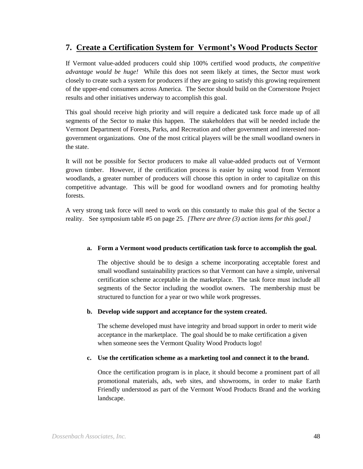## **7. Create a Certification System for Vermont's Wood Products Sector**

If Vermont value-added producers could ship 100% certified wood products, *the competitive advantage would be huge!* While this does not seem likely at times, the Sector must work closely to create such a system for producers if they are going to satisfy this growing requirement of the upper-end consumers across America. The Sector should build on the Cornerstone Project results and other initiatives underway to accomplish this goal.

This goal should receive high priority and will require a dedicated task force made up of all segments of the Sector to make this happen. The stakeholders that will be needed include the Vermont Department of Forests, Parks, and Recreation and other government and interested nongovernment organizations. One of the most critical players will be the small woodland owners in the state.

It will not be possible for Sector producers to make all value-added products out of Vermont grown timber. However, if the certification process is easier by using wood from Vermont woodlands, a greater number of producers will choose this option in order to capitalize on this competitive advantage. This will be good for woodland owners and for promoting healthy forests.

A very strong task force will need to work on this constantly to make this goal of the Sector a reality. See symposium table #5 on page 25. *[There are three (3) action items for this goal.]*

#### **a. Form a Vermont wood products certification task force to accomplish the goal.**

The objective should be to design a scheme incorporating acceptable forest and small woodland sustainability practices so that Vermont can have a simple, universal certification scheme acceptable in the marketplace. The task force must include all segments of the Sector including the woodlot owners. The membership must be structured to function for a year or two while work progresses.

#### **b. Develop wide support and acceptance for the system created.**

The scheme developed must have integrity and broad support in order to merit wide acceptance in the marketplace. The goal should be to make certification a given when someone sees the Vermont Quality Wood Products logo!

#### **c. Use the certification scheme as a marketing tool and connect it to the brand.**

Once the certification program is in place, it should become a prominent part of all promotional materials, ads, web sites, and showrooms, in order to make Earth Friendly understood as part of the Vermont Wood Products Brand and the working landscape.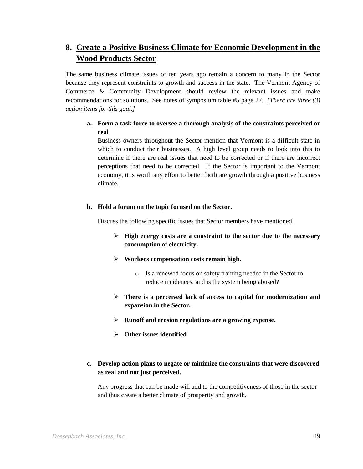## **8. Create a Positive Business Climate for Economic Development in the Wood Products Sector**

The same business climate issues of ten years ago remain a concern to many in the Sector because they represent constraints to growth and success in the state. The Vermont Agency of Commerce & Community Development should review the relevant issues and make recommendations for solutions. See notes of symposium table #5 page 27. *[There are three (3) action items for this goal.]*

## **a. Form a task force to oversee a thorough analysis of the constraints perceived or real**

Business owners throughout the Sector mention that Vermont is a difficult state in which to conduct their businesses. A high level group needs to look into this to determine if there are real issues that need to be corrected or if there are incorrect perceptions that need to be corrected. If the Sector is important to the Vermont economy, it is worth any effort to better facilitate growth through a positive business climate.

#### **b. Hold a forum on the topic focused on the Sector.**

Discuss the following specific issues that Sector members have mentioned.

- **High energy costs are a constraint to the sector due to the necessary consumption of electricity.**
- **Workers compensation costs remain high.**
	- o Is a renewed focus on safety training needed in the Sector to reduce incidences, and is the system being abused?
- **There is a perceived lack of access to capital for modernization and expansion in the Sector.**
- **Runoff and erosion regulations are a growing expense.**
- **Other issues identified**

## c. **Develop action plans to negate or minimize the constraints that were discovered as real and not just perceived.**

Any progress that can be made will add to the competitiveness of those in the sector and thus create a better climate of prosperity and growth.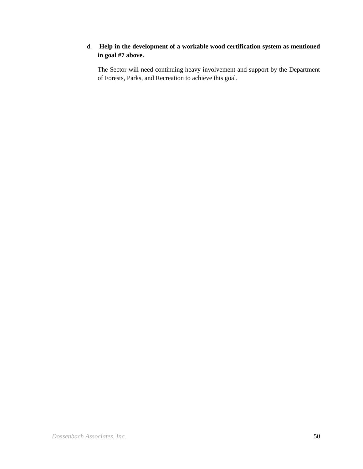## d. **Help in the development of a workable wood certification system as mentioned in goal #7 above.**

The Sector will need continuing heavy involvement and support by the Department of Forests, Parks, and Recreation to achieve this goal.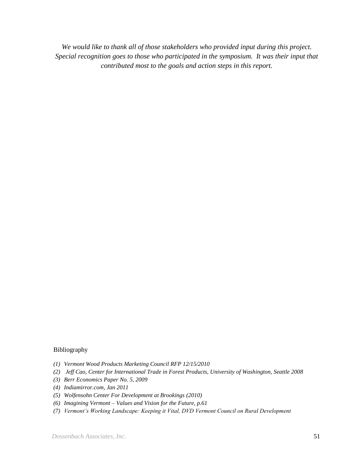*We would like to thank all of those stakeholders who provided input during this project. Special recognition goes to those who participated in the symposium. It was their input that contributed most to the goals and action steps in this report.*

#### Bibliography

- *(1) Vermont Wood Products Marketing Council RFP 12/15/2010*
- *(2) Jeff Cao, Center for International Trade in Forest Products, University of Washington, Seattle 2008*
- *(3) Berr Economics Paper No. 5, 2009*
- *(4) Indiamirror.com, Jan 2011*
- *(5) Wolfensohn Center For Development at Brookings (2010)*
- *(6) Imagining Vermont – Values and Vision for the Future, p.61*
- *(7) Vermont's Working Landscape: Keeping it Vital, DVD Vermont Council on Rural Development*